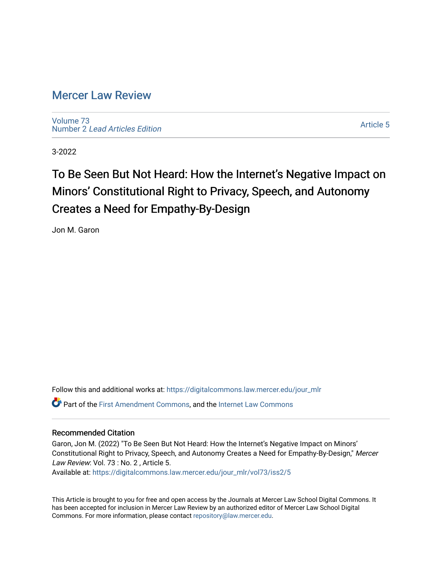# [Mercer Law Review](https://digitalcommons.law.mercer.edu/jour_mlr)

[Volume 73](https://digitalcommons.law.mercer.edu/jour_mlr/vol73) Number 2 [Lead Articles Edition](https://digitalcommons.law.mercer.edu/jour_mlr/vol73/iss2)

[Article 5](https://digitalcommons.law.mercer.edu/jour_mlr/vol73/iss2/5) 

3-2022

# To Be Seen But Not Heard: How the Internet's Negative Impact on Minors' Constitutional Right to Privacy, Speech, and Autonomy Creates a Need for Empathy-By-Design

Jon M. Garon

Follow this and additional works at: [https://digitalcommons.law.mercer.edu/jour\\_mlr](https://digitalcommons.law.mercer.edu/jour_mlr?utm_source=digitalcommons.law.mercer.edu%2Fjour_mlr%2Fvol73%2Fiss2%2F5&utm_medium=PDF&utm_campaign=PDFCoverPages) Part of the [First Amendment Commons,](http://network.bepress.com/hgg/discipline/1115?utm_source=digitalcommons.law.mercer.edu%2Fjour_mlr%2Fvol73%2Fiss2%2F5&utm_medium=PDF&utm_campaign=PDFCoverPages) and the [Internet Law Commons](http://network.bepress.com/hgg/discipline/892?utm_source=digitalcommons.law.mercer.edu%2Fjour_mlr%2Fvol73%2Fiss2%2F5&utm_medium=PDF&utm_campaign=PDFCoverPages)

## Recommended Citation

Garon, Jon M. (2022) "To Be Seen But Not Heard: How the Internet's Negative Impact on Minors' Constitutional Right to Privacy, Speech, and Autonomy Creates a Need for Empathy-By-Design," Mercer Law Review: Vol. 73 : No. 2, Article 5.

Available at: [https://digitalcommons.law.mercer.edu/jour\\_mlr/vol73/iss2/5](https://digitalcommons.law.mercer.edu/jour_mlr/vol73/iss2/5?utm_source=digitalcommons.law.mercer.edu%2Fjour_mlr%2Fvol73%2Fiss2%2F5&utm_medium=PDF&utm_campaign=PDFCoverPages)

This Article is brought to you for free and open access by the Journals at Mercer Law School Digital Commons. It has been accepted for inclusion in Mercer Law Review by an authorized editor of Mercer Law School Digital Commons. For more information, please contact [repository@law.mercer.edu.](mailto:repository@law.mercer.edu)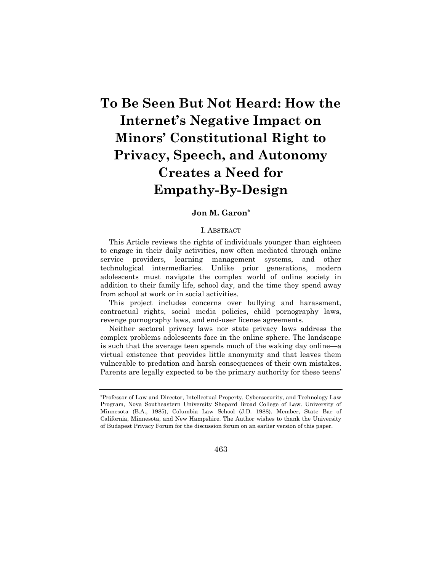# **To Be Seen But Not Heard: How the Internet's Negative Impact on Minors' Constitutional Right to Privacy, Speech, and Autonomy Creates a Need for Empathy-By-Design**

### **Jon M. Garon\***

#### I. ABSTRACT

This Article reviews the rights of individuals younger than eighteen to engage in their daily activities, now often mediated through online service providers, learning management systems, and other technological intermediaries. Unlike prior generations, modern adolescents must navigate the complex world of online society in addition to their family life, school day, and the time they spend away from school at work or in social activities.

This project includes concerns over bullying and harassment, contractual rights, social media policies, child pornography laws, revenge pornography laws, and end-user license agreements.

Neither sectoral privacy laws nor state privacy laws address the complex problems adolescents face in the online sphere. The landscape is such that the average teen spends much of the waking day online—a virtual existence that provides little anonymity and that leaves them vulnerable to predation and harsh consequences of their own mistakes. Parents are legally expected to be the primary authority for these teens'

463

<sup>\*</sup>Professor of Law and Director, Intellectual Property, Cybersecurity, and Technology Law Program, Nova Southeastern University Shepard Broad College of Law. University of Minnesota (B.A., 1985), Columbia Law School (J.D. 1988). Member, State Bar of California, Minnesota, and New Hampshire. The Author wishes to thank the University of Budapest Privacy Forum for the discussion forum on an earlier version of this paper.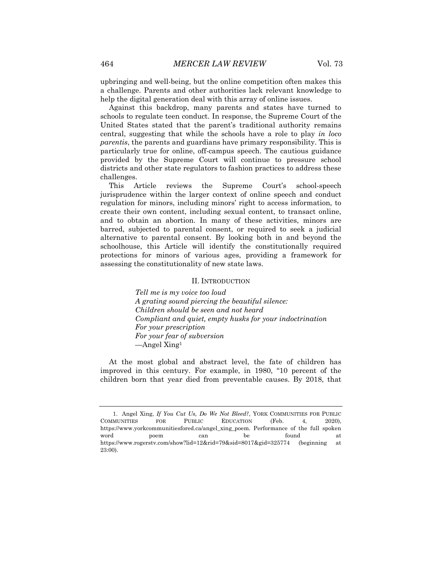upbringing and well-being, but the online competition often makes this a challenge. Parents and other authorities lack relevant knowledge to help the digital generation deal with this array of online issues.

Against this backdrop, many parents and states have turned to schools to regulate teen conduct. In response, the Supreme Court of the United States stated that the parent's traditional authority remains central, suggesting that while the schools have a role to play *in loco parentis*, the parents and guardians have primary responsibility. This is particularly true for online, off-campus speech. The cautious guidance provided by the Supreme Court will continue to pressure school districts and other state regulators to fashion practices to address these challenges.

This Article reviews the Supreme Court's school-speech jurisprudence within the larger context of online speech and conduct regulation for minors, including minors' right to access information, to create their own content, including sexual content, to transact online, and to obtain an abortion. In many of these activities, minors are barred, subjected to parental consent, or required to seek a judicial alternative to parental consent. By looking both in and beyond the schoolhouse, this Article will identify the constitutionally required protections for minors of various ages, providing a framework for assessing the constitutionality of new state laws.

#### II. INTRODUCTION

*Tell me is my voice too loud A grating sound piercing the beautiful silence: Children should be seen and not heard Compliant and quiet, empty husks for your indoctrination For your prescription For your fear of subversion* —Angel Xing<sup>1</sup>

At the most global and abstract level, the fate of children has improved in this century. For example, in 1980, "10 percent of the children born that year died from preventable causes. By 2018, that

<sup>1.</sup> Angel Xing, *If You Cut Us, Do We Not Bleed?*, YORK COMMUNITIES FOR PUBLIC COMMUNITIES FOR PUBLIC EDUCATION (Feb. 4, 2020), https://www.yorkcommunitiesfored.ca/angel\_xing\_poem. Performance of the full spoken word poem can be found at https://www.rogerstv.com/show?lid=12&rid=79&sid=8017&gid=325774 (beginning at 23:00).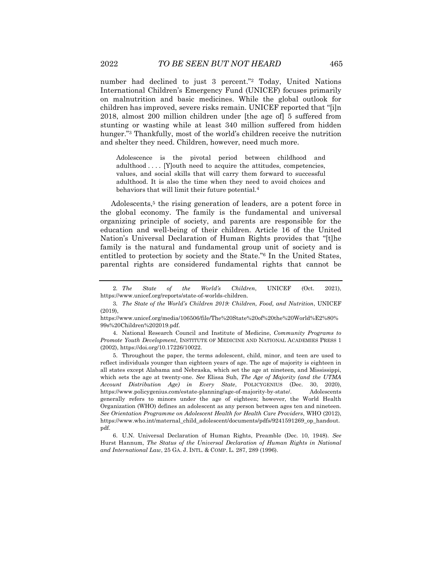number had declined to just 3 percent."<sup>2</sup> Today, United Nations International Children's Emergency Fund (UNICEF) focuses primarily on malnutrition and basic medicines. While the global outlook for children has improved, severe risks remain. UNICEF reported that "[i]n 2018, almost 200 million children under [the age of] 5 suffered from stunting or wasting while at least 340 million suffered from hidden hunger."<sup>3</sup> Thankfully, most of the world's children receive the nutrition and shelter they need. Children, however, need much more.

Adolescence is the pivotal period between childhood and adulthood . . . . [Y]outh need to acquire the attitudes, competencies, values, and social skills that will carry them forward to successful adulthood. It is also the time when they need to avoid choices and behaviors that will limit their future potential.<sup>4</sup>

Adolescents,<sup>5</sup> the rising generation of leaders, are a potent force in the global economy. The family is the fundamental and universal organizing principle of society, and parents are responsible for the education and well-being of their children. Article 16 of the United Nation's Universal Declaration of Human Rights provides that "[t]he family is the natural and fundamental group unit of society and is entitled to protection by society and the State."<sup>6</sup> In the United States, parental rights are considered fundamental rights that cannot be

<sup>2</sup>*. The State of the World's Children*, UNICEF (Oct. 2021), https://www.unicef.org/reports/state-of-worlds-children.

<sup>3</sup>*. The State of the World's Children 2019: Children, Food, and Nutrition*, UNICEF (2019),

https://www.unicef.org/media/106506/file/The%20State%20of%20the%20World%E2%80% 99s%20Children%202019.pdf.

<sup>4.</sup> National Research Council and Institute of Medicine, *Community Programs to Promote Youth Development*, INSTITUTE OF MEDICINE AND NATIONAL ACADEMIES PRESS 1 (2002), https://doi.org/10.17226/10022.

<sup>5.</sup> Throughout the paper, the terms adolescent, child, minor, and teen are used to reflect individuals younger than eighteen years of age. The age of majority is eighteen in all states except Alabama and Nebraska, which set the age at nineteen, and Mississippi, which sets the age at twenty-one. *See* Elissa Suh, *The Age of Majority (and the UTMA Account Distribution Age) in Every State*, POLICYGENIUS (Dec. 30, 2020), https://www.policygenius.com/estate-planning/age-of-majority-by-state/. Adolescents generally refers to minors under the age of eighteen; however, the World Health Organization (WHO) defines an adolescent as any person between ages ten and nineteen. *See Orientation Programme on Adolescent Health for Health Care Providers*, WHO (2012), https://www.who.int/maternal\_child\_adolescent/documents/pdfs/9241591269\_op\_handout. pdf.

<sup>6.</sup> U.N. Universal Declaration of Human Rights, Preamble (Dec. 10, 1948). *See* Hurst Hannum, *The Status of the Universal Declaration of Human Rights in National and International Law*, 25 GA. J. INTL. & COMP. L. 287, 289 (1996).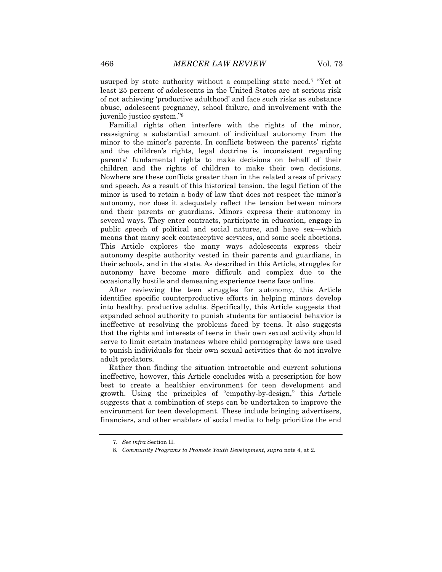usurped by state authority without a compelling state need.<sup>7</sup> "Yet at least 25 percent of adolescents in the United States are at serious risk of not achieving 'productive adulthood' and face such risks as substance abuse, adolescent pregnancy, school failure, and involvement with the juvenile justice system."<sup>8</sup>

Familial rights often interfere with the rights of the minor, reassigning a substantial amount of individual autonomy from the minor to the minor's parents. In conflicts between the parents' rights and the children's rights, legal doctrine is inconsistent regarding parents' fundamental rights to make decisions on behalf of their children and the rights of children to make their own decisions. Nowhere are these conflicts greater than in the related areas of privacy and speech. As a result of this historical tension, the legal fiction of the minor is used to retain a body of law that does not respect the minor's autonomy, nor does it adequately reflect the tension between minors and their parents or guardians. Minors express their autonomy in several ways. They enter contracts, participate in education, engage in public speech of political and social natures, and have sex—which means that many seek contraceptive services, and some seek abortions. This Article explores the many ways adolescents express their autonomy despite authority vested in their parents and guardians, in their schools, and in the state. As described in this Article, struggles for autonomy have become more difficult and complex due to the occasionally hostile and demeaning experience teens face online.

After reviewing the teen struggles for autonomy, this Article identifies specific counterproductive efforts in helping minors develop into healthy, productive adults. Specifically, this Article suggests that expanded school authority to punish students for antisocial behavior is ineffective at resolving the problems faced by teens. It also suggests that the rights and interests of teens in their own sexual activity should serve to limit certain instances where child pornography laws are used to punish individuals for their own sexual activities that do not involve adult predators.

Rather than finding the situation intractable and current solutions ineffective, however, this Article concludes with a prescription for how best to create a healthier environment for teen development and growth. Using the principles of "empathy-by-design," this Article suggests that a combination of steps can be undertaken to improve the environment for teen development. These include bringing advertisers, financiers, and other enablers of social media to help prioritize the end

<sup>7</sup>*. See infra* Section II.

<sup>8</sup>*. Community Programs to Promote Youth Development*, *supra* note 4, at 2.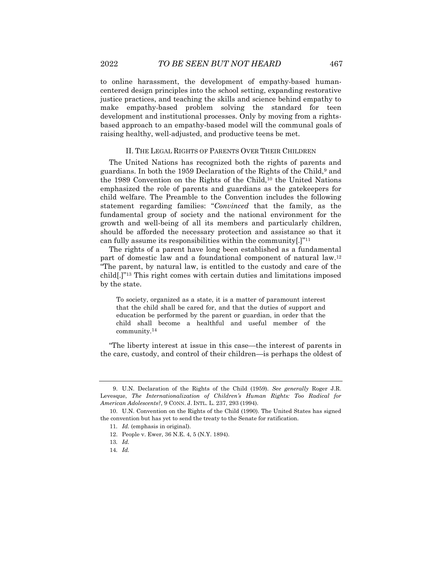to online harassment, the development of empathy-based humancentered design principles into the school setting, expanding restorative justice practices, and teaching the skills and science behind empathy to make empathy-based problem solving the standard for teen development and institutional processes. Only by moving from a rightsbased approach to an empathy-based model will the communal goals of raising healthy, well-adjusted, and productive teens be met.

#### II. THE LEGAL RIGHTS OF PARENTS OVER THEIR CHILDREN

The United Nations has recognized both the rights of parents and guardians. In both the 1959 Declaration of the Rights of the Child,<sup>9</sup> and the 1989 Convention on the Rights of the Child,<sup>10</sup> the United Nations emphasized the role of parents and guardians as the gatekeepers for child welfare. The Preamble to the Convention includes the following statement regarding families: "*Convinced* that the family, as the fundamental group of society and the national environment for the growth and well-being of all its members and particularly children, should be afforded the necessary protection and assistance so that it can fully assume its responsibilities within the community[.]"<sup>11</sup>

The rights of a parent have long been established as a fundamental part of domestic law and a foundational component of natural law.<sup>12</sup> "The parent, by natural law, is entitled to the custody and care of the child[.]"<sup>13</sup> This right comes with certain duties and limitations imposed by the state.

To society, organized as a state, it is a matter of paramount interest that the child shall be cared for, and that the duties of support and education be performed by the parent or guardian, in order that the child shall become a healthful and useful member of the community.<sup>14</sup>

"The liberty interest at issue in this case—the interest of parents in the care, custody, and control of their children—is perhaps the oldest of

<sup>9.</sup> U.N. Declaration of the Rights of the Child (1959). *See generally* Roger J.R. Levesque, *The Internationalization of Children's Human Rights: Too Radical for American Adolescents?*, 9 CONN. J. INTL. L. 237, 293 (1994).

<sup>10.</sup> U.N. Convention on the Rights of the Child (1990). The United States has signed the convention but has yet to send the treaty to the Senate for ratification.

<sup>11</sup>*. Id.* (emphasis in original).

<sup>12.</sup> People v. Ewer, 36 N.E. 4, 5 (N.Y. 1894).

<sup>13</sup>*. Id.*

<sup>14</sup>*. Id.*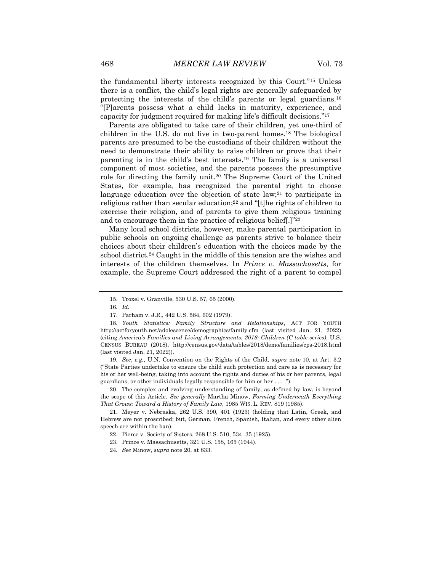the fundamental liberty interests recognized by this Court."<sup>15</sup> Unless there is a conflict, the child's legal rights are generally safeguarded by protecting the interests of the child's parents or legal guardians.<sup>16</sup> "[P]arents possess what a child lacks in maturity, experience, and capacity for judgment required for making life's difficult decisions."<sup>17</sup>

Parents are obligated to take care of their children, yet one-third of children in the U.S. do not live in two-parent homes.<sup>18</sup> The biological parents are presumed to be the custodians of their children without the need to demonstrate their ability to raise children or prove that their parenting is in the child's best interests.<sup>19</sup> The family is a universal component of most societies, and the parents possess the presumptive role for directing the family unit.<sup>20</sup> The Supreme Court of the United States, for example, has recognized the parental right to choose language education over the objection of state  $law$ ;<sup>21</sup> to participate in religious rather than secular education;<sup>22</sup> and "[t]he rights of children to exercise their religion, and of parents to give them religious training and to encourage them in the practice of religious belief[.]"<sup>23</sup>

Many local school districts, however, make parental participation in public schools an ongoing challenge as parents strive to balance their choices about their children's education with the choices made by the school district.<sup>24</sup> Caught in the middle of this tension are the wishes and interests of the children themselves. In *Prince v. Massachusetts*, for example, the Supreme Court addressed the right of a parent to compel

19*. See*, *e.g.*, U.N. Convention on the Rights of the Child, *supra* note 10, at Art. 3.2 ("State Parties undertake to ensure the child such protection and care as is necessary for his or her well-being, taking into account the rights and duties of his or her parents, legal guardians, or other individuals legally responsible for him or her . . . .").

20. The complex and evolving understanding of family, as defined by law, is beyond the scope of this Article. *See generally* Martha Minow, *Forming Underneath Everything That Grows: Toward a History of Family Law*, 1985 WIS. L. REV. 819 (1985).

21. Meyer v. Nebraska, 262 U.S. 390, 401 (1923) (holding that Latin, Greek, and Hebrew are not proscribed; but, German, French, Spanish, Italian, and every other alien speech are within the ban).

<sup>15.</sup> Troxel v. Granville, 530 U.S. 57, 65 (2000).

<sup>16</sup>*. Id.*

<sup>17.</sup> Parham v. J.R., 442 U.S. 584, 602 (1979).

<sup>18</sup>*. Youth Statistics: Family Structure and Relationships*, ACT FOR YOUTH http://actforyouth.net/adolescence/demographics/family.cfm (last visited Jan. 21, 2022) (citing *America's Families and Living Arrangements: 2018: Children (C table series)*, U.S. CENSUS BUREAU (2018), http://census.gov/data/tables/2018/demo/families/cps-2018.html (last visited Jan. 21, 2022)).

<sup>22.</sup> Pierce v. Society of Sisters, 268 U.S. 510, 534–35 (1925).

<sup>23.</sup> Prince v. Massachusetts, 321 U.S. 158, 165 (1944).

<sup>24</sup>*. See* Minow, *supra* note 20, at 833.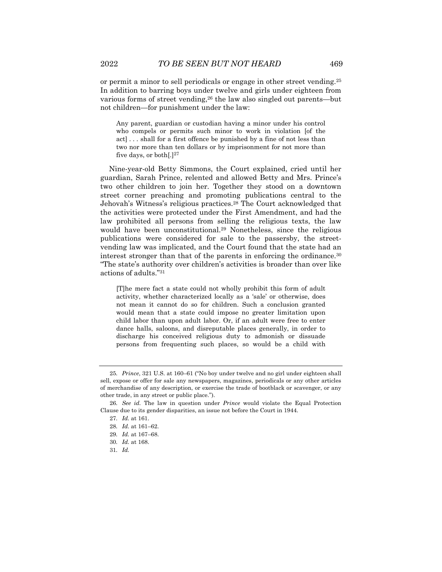or permit a minor to sell periodicals or engage in other street vending.<sup>25</sup> In addition to barring boys under twelve and girls under eighteen from various forms of street vending,<sup>26</sup> the law also singled out parents—but not children—for punishment under the law:

Any parent, guardian or custodian having a minor under his control who compels or permits such minor to work in violation [of the act] . . . shall for a first offence be punished by a fine of not less than two nor more than ten dollars or by imprisonment for not more than five days, or both[.]<sup>27</sup>

Nine-year-old Betty Simmons, the Court explained, cried until her guardian, Sarah Prince, relented and allowed Betty and Mrs. Prince's two other children to join her. Together they stood on a downtown street corner preaching and promoting publications central to the Jehovah's Witness's religious practices.<sup>28</sup> The Court acknowledged that the activities were protected under the First Amendment, and had the law prohibited all persons from selling the religious texts, the law would have been unconstitutional.<sup>29</sup> Nonetheless, since the religious publications were considered for sale to the passersby, the streetvending law was implicated, and the Court found that the state had an interest stronger than that of the parents in enforcing the ordinance.<sup>30</sup> "The state's authority over children's activities is broader than over like actions of adults."<sup>31</sup>

[T]he mere fact a state could not wholly prohibit this form of adult activity, whether characterized locally as a 'sale' or otherwise, does not mean it cannot do so for children. Such a conclusion granted would mean that a state could impose no greater limitation upon child labor than upon adult labor. Or, if an adult were free to enter dance halls, saloons, and disreputable places generally, in order to discharge his conceived religious duty to admonish or dissuade persons from frequenting such places, so would be a child with

31*. Id.*

<sup>25</sup>*. Prince*, 321 U.S. at 160–61 ("No boy under twelve and no girl under eighteen shall sell, expose or offer for sale any newspapers, magazines, periodicals or any other articles of merchandise of any description, or exercise the trade of bootblack or scavenger, or any other trade, in any street or public place.").

<sup>26</sup>*. See id.* The law in question under *Prince* would violate the Equal Protection Clause due to its gender disparities, an issue not before the Court in 1944.

<sup>27</sup>*. Id.* at 161.

<sup>28</sup>*. Id.* at 161–62.

<sup>29</sup>*. Id.* at 167–68.

<sup>30</sup>*. Id.* at 168.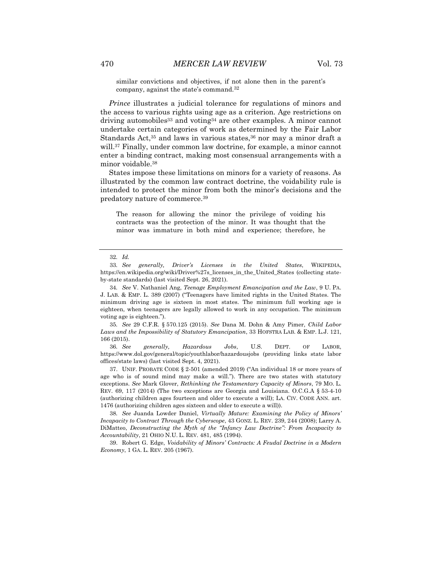similar convictions and objectives, if not alone then in the parent's company, against the state's command.<sup>32</sup>

*Prince* illustrates a judicial tolerance for regulations of minors and the access to various rights using age as a criterion. Age restrictions on driving automobiles<sup>33</sup> and voting<sup>34</sup> are other examples. A minor cannot undertake certain categories of work as determined by the Fair Labor Standards Act,<sup>35</sup> and laws in various states,<sup>36</sup> nor may a minor draft a will.<sup>37</sup> Finally, under common law doctrine, for example, a minor cannot enter a binding contract, making most consensual arrangements with a minor voidable.<sup>38</sup>

States impose these limitations on minors for a variety of reasons. As illustrated by the common law contract doctrine, the voidability rule is intended to protect the minor from both the minor's decisions and the predatory nature of commerce.<sup>39</sup>

The reason for allowing the minor the privilege of voiding his contracts was the protection of the minor. It was thought that the minor was immature in both mind and experience; therefore, he

35*. See* 29 C.F.R. § 570.125 (2015). *See* Dana M. Dohn & Amy Pimer, *Child Labor Laws and the Impossibility of Statutory Emancipation*, 33 HOFSTRA LAB. & EMP. L.J. 121, 166 (2015).

36*. See generally, Hazardous Jobs*, U.S. DEPT. OF LABOR, https://www.dol.gov/general/topic/youthlabor/hazardousjobs (providing links state labor offices/state laws) (last visited Sept. 4, 2021).

37. UNIF. PROBATE CODE § 2-501 (amended 2019) ("An individual 18 or more years of age who is of sound mind may make a will."). There are two states with statutory exceptions. *See* Mark Glover, *Rethinking the Testamentary Capacity of Minors*, 79 MO. L. REV. 69, 117 (2014) (The two exceptions are Georgia and Louisiana. O.C.G.A § 53-4-10 (authorizing children ages fourteen and older to execute a will); LA. CIV. CODE ANN. art. 1476 (authorizing children ages sixteen and older to execute a will)).

38*. See* Juanda Lowder Daniel, *Virtually Mature: Examining the Policy of Minors' Incapacity to Contract Through the Cyberscope*, 43 GONZ. L. REV. 239, 244 (2008); Larry A. DiMatteo, *Deconstructing the Myth of the "Infancy Law Doctrine": From Incapacity to Accountability*, 21 OHIO N.U. L. REV. 481, 485 (1994).

39. Robert G. Edge, *Voidability of Minors' Contracts: A Feudal Doctrine in a Modern Economy*, 1 GA. L. REV. 205 (1967).

<sup>32</sup>*. Id.*

<sup>33</sup>*. See generally, Driver's Licenses in the United States*, WIKIPEDIA, https://en.wikipedia.org/wiki/Driver%27s\_licenses\_in\_the\_United\_States (collecting stateby-state standards) (last visited Sept. 26, 2021).

<sup>34</sup>*. See* V. Nathaniel Ang, *Teenage Employment Emancipation and the Law*, 9 U. PA. J. LAB. & EMP. L. 389 (2007) ("Teenagers have limited rights in the United States. The minimum driving age is sixteen in most states. The minimum full working age is eighteen, when teenagers are legally allowed to work in any occupation. The minimum voting age is eighteen.").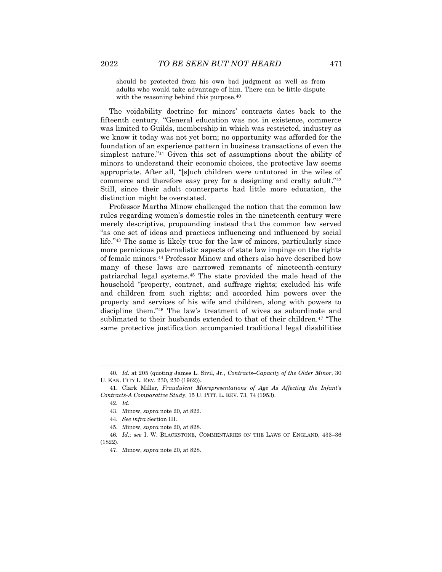should be protected from his own bad judgment as well as from adults who would take advantage of him. There can be little dispute with the reasoning behind this purpose.<sup>40</sup>

The voidability doctrine for minors' contracts dates back to the fifteenth century. "General education was not in existence, commerce was limited to Guilds, membership in which was restricted, industry as we know it today was not yet born; no opportunity was afforded for the foundation of an experience pattern in business transactions of even the simplest nature."<sup>41</sup> Given this set of assumptions about the ability of minors to understand their economic choices, the protective law seems appropriate. After all, "[s]uch children were untutored in the wiles of commerce and therefore easy prey for a designing and crafty adult."<sup>42</sup> Still, since their adult counterparts had little more education, the distinction might be overstated.

Professor Martha Minow challenged the notion that the common law rules regarding women's domestic roles in the nineteenth century were merely descriptive, propounding instead that the common law served "as one set of ideas and practices influencing and influenced by social life."<sup>43</sup> The same is likely true for the law of minors, particularly since more pernicious paternalistic aspects of state law impinge on the rights of female minors.<sup>44</sup> Professor Minow and others also have described how many of these laws are narrowed remnants of nineteenth-century patriarchal legal systems.<sup>45</sup> The state provided the male head of the household "property, contract, and suffrage rights; excluded his wife and children from such rights; and accorded him powers over the property and services of his wife and children, along with powers to discipline them."<sup>46</sup> The law's treatment of wives as subordinate and sublimated to their husbands extended to that of their children.<sup>47</sup> "The same protective justification accompanied traditional legal disabilities

<sup>40</sup>*. Id.* at 205 (quoting James L. Sivil, Jr*.*, *Contracts–Capacity of the Older Minor*, 30 U. KAN. CITY L. REV. 230, 230 (1962)).

<sup>41.</sup> Clark Miller, *Fraudulent Misrepresentations of Age As Affecting the Infant's Contracts-A Comparative Study*, 15 U. PITT. L. REV. 73, 74 (1953).

<sup>42</sup>*. Id.*

<sup>43.</sup> Minow, *supra* note 20, at 822.

<sup>44</sup>*. See infra* Section III.

<sup>45.</sup> Minow, *supra* note 20, at 828.

<sup>46</sup>*. Id*.; *see* I. W. BLACKSTONE, COMMENTARIES ON THE LAWS OF ENGLAND, 433–36 (1822).

<sup>47.</sup> Minow, *supra* note 20, at 828.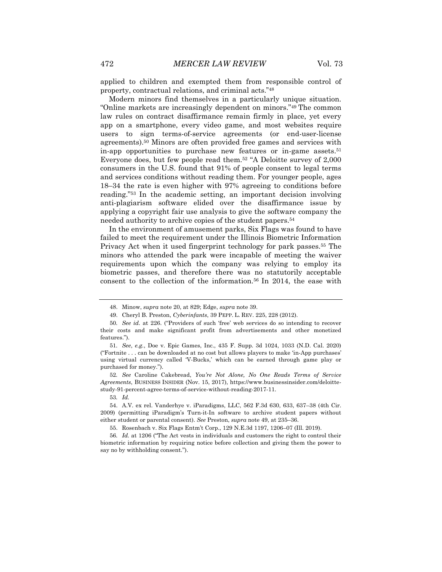applied to children and exempted them from responsible control of property, contractual relations, and criminal acts."<sup>48</sup>

Modern minors find themselves in a particularly unique situation. "Online markets are increasingly dependent on minors."<sup>49</sup> The common law rules on contract disaffirmance remain firmly in place, yet every app on a smartphone, every video game, and most websites require users to sign terms-of-service agreements (or end-user-license agreements).<sup>50</sup> Minors are often provided free games and services with in-app opportunities to purchase new features or in-game assets.<sup>51</sup> Everyone does, but few people read them.<sup>52</sup> "A Deloitte survey of 2,000 consumers in the U.S. found that 91% of people consent to legal terms and services conditions without reading them. For younger people, ages 18–34 the rate is even higher with 97% agreeing to conditions before reading."<sup>53</sup> In the academic setting, an important decision involving anti-plagiarism software elided over the disaffirmance issue by applying a copyright fair use analysis to give the software company the needed authority to archive copies of the student papers.<sup>54</sup>

In the environment of amusement parks, Six Flags was found to have failed to meet the requirement under the Illinois Biometric Information Privacy Act when it used fingerprint technology for park passes.<sup>55</sup> The minors who attended the park were incapable of meeting the waiver requirements upon which the company was relying to employ its biometric passes, and therefore there was no statutorily acceptable consent to the collection of the information.<sup>56</sup> In 2014, the ease with

52*. See* Caroline Cakebread, *You're Not Alone, No One Reads Terms of Service Agreements*, BUSINESS INSIDER (Nov. 15, 2017), https://www.businessinsider.com/deloittestudy-91-percent-agree-terms-of-service-without-reading-2017-11.

53*. Id.*

<sup>48.</sup> Minow, *supra* note 20, at 829; Edge, *supra* note 39.

<sup>49.</sup> Cheryl B. Preston, *Cyberinfants*, 39 PEPP. L. REV. 225, 228 (2012).

<sup>50</sup>*. See id.* at 226. ("Providers of such 'free' web services do so intending to recover their costs and make significant profit from advertisements and other monetized features.").

<sup>51</sup>*. See*, *e.g.*, Doe v. Epic Games, Inc., 435 F. Supp. 3d 1024, 1033 (N.D. Cal. 2020) ("Fortnite . . . can be downloaded at no cost but allows players to make 'in-App purchases' using virtual currency called 'V-Bucks,' which can be earned through game play or purchased for money.").

<sup>54.</sup> A.V. ex rel. Vanderhye v. iParadigms, LLC, 562 F.3d 630, 633, 637–38 (4th Cir. 2009) (permitting iParadigm's Turn-it-In software to archive student papers without either student or parental consent). *See* Preston, *supra* note 49, at 235–36.

<sup>55.</sup> Rosenbach v. Six Flags Entm't Corp., 129 N.E.3d 1197, 1206–07 (Ill. 2019).

<sup>56</sup>*. Id.* at 1206 ("The Act vests in individuals and customers the right to control their biometric information by requiring notice before collection and giving them the power to say no by withholding consent.").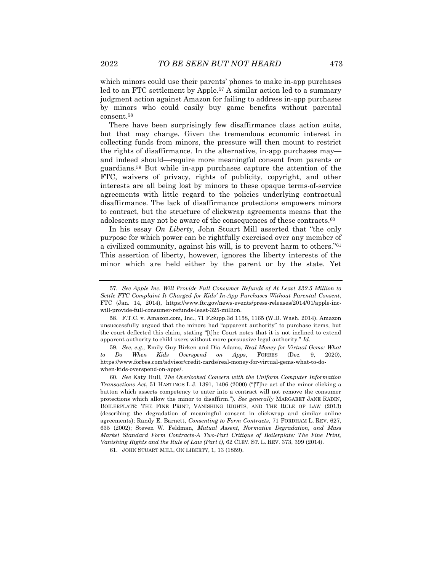which minors could use their parents' phones to make in-app purchases led to an FTC settlement by Apple.<sup>57</sup> A similar action led to a summary judgment action against Amazon for failing to address in-app purchases by minors who could easily buy game benefits without parental consent.<sup>58</sup>

There have been surprisingly few disaffirmance class action suits, but that may change. Given the tremendous economic interest in collecting funds from minors, the pressure will then mount to restrict the rights of disaffirmance. In the alternative, in-app purchases may and indeed should—require more meaningful consent from parents or guardians.<sup>59</sup> But while in-app purchases capture the attention of the FTC, waivers of privacy, rights of publicity, copyright, and other interests are all being lost by minors to these opaque terms-of-service agreements with little regard to the policies underlying contractual disaffirmance. The lack of disaffirmance protections empowers minors to contract, but the structure of clickwrap agreements means that the adolescents may not be aware of the consequences of these contracts.<sup>60</sup>

In his essay *On Liberty*, John Stuart Mill asserted that "the only purpose for which power can be rightfully exercised over any member of a civilized community, against his will, is to prevent harm to others."<sup>61</sup> This assertion of liberty, however, ignores the liberty interests of the minor which are held either by the parent or by the state. Yet

59*. See*, *e.g.,* Emily Guy Birken and Dia Adams, *Real Money for Virtual Gems: What to Do When Kids Overspend on Apps*, FORBES (Dec. 9, 2020), https://www.forbes.com/advisor/credit-cards/real-money-for-virtual-gems-what-to-dowhen-kids-overspend-on-apps/.

60*. See* Katy Hull, *The Overlooked Concern with the Uniform Computer Information Transactions Act*, 51 HASTINGS L.J. 1391, 1406 (2000) ("[T]he act of the minor clicking a button which asserts competency to enter into a contract will not remove the consumer protections which allow the minor to disaffirm."). *See generally* MARGARET JANE RADIN, BOILERPLATE: THE FINE PRINT, VANISHING RIGHTS, AND THE RULE OF LAW (2013) (describing the degradation of meaningful consent in clickwrap and similar online agreements); Randy E. Barnett, *Consenting to Form Contracts*, 71 FORDHAM L. REV. 627, 635 (2002); Steven W. Feldman, *Mutual Assent, Normative Degradation, and Mass Market Standard Form Contracts-A Two-Part Critique of Boilerplate: The Fine Print, Vanishing Rights and the Rule of Law (Part i)*, 62 CLEV. ST. L. REV. 373, 399 (2014).

61. JOHN STUART MILL, ON LIBERTY, 1, 13 (1859).

<sup>57</sup>*. See Apple Inc. Will Provide Full Consumer Refunds of At Least \$32.5 Million to Settle FTC Complaint It Charged for Kids' In-App Purchases Without Parental Consent*, FTC (Jan. 14, 2014), https://www.ftc.gov/news-events/press-releases/2014/01/apple-incwill-provide-full-consumer-refunds-least-325-million.

<sup>58.</sup> F.T.C. v. Amazon.com, Inc., 71 F.Supp.3d 1158, 1165 (W.D. Wash. 2014). Amazon unsuccessfully argued that the minors had "apparent authority" to purchase items, but the court deflected this claim, stating "[t]he Court notes that it is not inclined to extend apparent authority to child users without more persuasive legal authority." *Id.*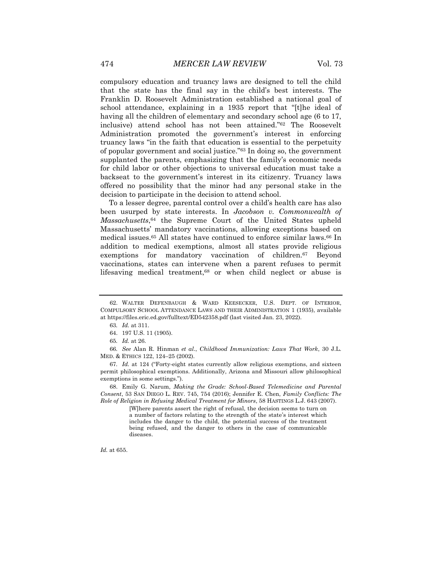compulsory education and truancy laws are designed to tell the child that the state has the final say in the child's best interests. The Franklin D. Roosevelt Administration established a national goal of school attendance, explaining in a 1935 report that "[t]he ideal of having all the children of elementary and secondary school age (6 to 17, inclusive) attend school has not been attained."<sup>62</sup> The Roosevelt Administration promoted the government's interest in enforcing truancy laws "in the faith that education is essential to the perpetuity of popular government and social justice."<sup>63</sup> In doing so, the government supplanted the parents, emphasizing that the family's economic needs for child labor or other objections to universal education must take a backseat to the government's interest in its citizenry. Truancy laws offered no possibility that the minor had any personal stake in the decision to participate in the decision to attend school.

To a lesser degree, parental control over a child's health care has also been usurped by state interests. In *Jacobson v. Commonwealth of Massachusetts*, <sup>64</sup> the Supreme Court of the United States upheld Massachusetts' mandatory vaccinations, allowing exceptions based on medical issues.<sup>65</sup> All states have continued to enforce similar laws.<sup>66</sup> In addition to medical exemptions, almost all states provide religious exemptions for mandatory vaccination of children.<sup>67</sup> Beyond vaccinations, states can intervene when a parent refuses to permit lifesaving medical treatment,<sup>68</sup> or when child neglect or abuse is

66*. See* Alan R. Hinman *et al*., *Childhood Immunization: Laws That Work*, 30 J.L. MED. & ETHICS 122, 124–25 (2002).

67*. Id.* at 124 ("Forty-eight states currently allow religious exemptions, and sixteen permit philosophical exemptions. Additionally, Arizona and Missouri allow philosophical exemptions in some settings.").

68. Emily G. Narum, *Making the Grade: School-Based Telemedicine and Parental Consent*, 53 SAN DIEGO L. REV. 745, 754 (2016); Jennifer E. Chen, *Family Conflicts: The Role of Religion in Refusing Medical Treatment for Minors*, 58 HASTINGS L.J. 643 (2007).

> [W]here parents assert the right of refusal, the decision seems to turn on a number of factors relating to the strength of the state's interest which includes the danger to the child, the potential success of the treatment being refused, and the danger to others in the case of communicable diseases.

*Id.* at 655.

<sup>62.</sup> WALTER DEFENBAUGH & WARD KEESECKER, U.S. DEPT. OF INTERIOR, COMPULSORY SCHOOL ATTENDANCE LAWS AND THEIR ADMINISTRATION 1 (1935), available at https://files.eric.ed.gov/fulltext/ED542358.pdf (last visited Jan. 23, 2022).

<sup>63</sup>*. Id.* at 311.

<sup>64.</sup> 197 U.S. 11 (1905).

<sup>65</sup>*. Id.* at 26.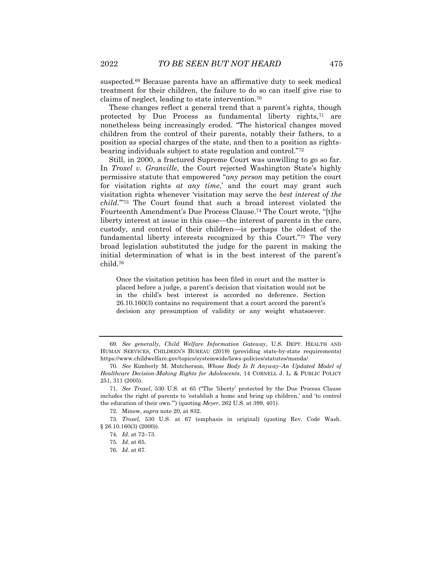suspected.<sup>69</sup> Because parents have an affirmative duty to seek medical treatment for their children, the failure to do so can itself give rise to claims of neglect, leading to state intervention.<sup>70</sup>

These changes reflect a general trend that a parent's rights, though protected by Due Process as fundamental liberty rights,<sup>71</sup> are nonetheless being increasingly eroded. "The historical changes moved children from the control of their parents, notably their fathers, to a position as special charges of the state, and then to a position as rightsbearing individuals subject to state regulation and control."<sup>72</sup>

Still, in 2000, a fractured Supreme Court was unwilling to go so far. In *Troxel v. Granville*, the Court rejected Washington State's highly permissive statute that empowered "*any person* may petition the court for visitation rights *at any time*,' and the court may grant such visitation rights whenever 'visitation may serve the *best interest of the child*.'"<sup>73</sup> The Court found that such a broad interest violated the Fourteenth Amendment's Due Process Clause.<sup>74</sup> The Court wrote, "[t]he liberty interest at issue in this case—the interest of parents in the care, custody, and control of their children—is perhaps the oldest of the fundamental liberty interests recognized by this Court."<sup>75</sup> The very broad legislation substituted the judge for the parent in making the initial determination of what is in the best interest of the parent's child.<sup>76</sup>

Once the visitation petition has been filed in court and the matter is placed before a judge, a parent's decision that visitation would not be in the child's best interest is accorded no deference. Section 26.10.160(3) contains no requirement that a court accord the parent's decision any presumption of validity or any weight whatsoever.

76*. Id.* at 67.

<sup>69</sup>*. See generally, Child Welfare Information Gateway*, U.S. DEPT. HEALTH AND HUMAN SERVICES, CHILDREN'S BUREAU (2019) (providing state-by-state requirements) https://www.childwelfare.gov/topics/systemwide/laws-policies/statutes/manda/.

<sup>70</sup>*. See* Kimberly M. Mutcherson, *Whose Body Is It Anyway–An Updated Model of Healthcare Decision-Making Rights for Adolescents*, 14 CORNELL J. L. & PUBLIC POLICY 251, 311 (2005).

<sup>71</sup>*. See Troxel*, 530 U.S. at 65 ("The 'liberty' protected by the Due Process Clause includes the right of parents to 'establish a home and bring up children,' and 'to control the education of their own.'") (quoting *Meyer*, 262 U.S. at 399, 401).

<sup>72.</sup> Minow, *supra* note 20, at 832.

<sup>73</sup>*. Troxel,* 530 U.S. at 67 (emphasis in original) (quoting Rev. Code Wash. § 26.10.160(3) (2000)).

<sup>74</sup>*. Id.* at 72–73.

<sup>75</sup>*. Id.* at 65.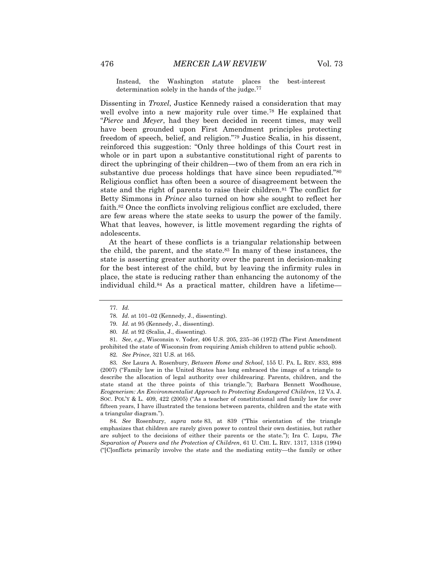Instead, the Washington statute places the best-interest determination solely in the hands of the judge.<sup>77</sup>

Dissenting in *Troxel*, Justice Kennedy raised a consideration that may well evolve into a new majority rule over time.<sup>78</sup> He explained that "*Pierce* and *Meyer*, had they been decided in recent times, may well have been grounded upon First Amendment principles protecting freedom of speech, belief, and religion."<sup>79</sup> Justice Scalia, in his dissent, reinforced this suggestion: "Only three holdings of this Court rest in whole or in part upon a substantive constitutional right of parents to direct the upbringing of their children—two of them from an era rich in substantive due process holdings that have since been repudiated."<sup>80</sup> Religious conflict has often been a source of disagreement between the state and the right of parents to raise their children.<sup>81</sup> The conflict for Betty Simmons in *Prince* also turned on how she sought to reflect her faith.<sup>82</sup> Once the conflicts involving religious conflict are excluded, there are few areas where the state seeks to usurp the power of the family. What that leaves, however, is little movement regarding the rights of adolescents.

At the heart of these conflicts is a triangular relationship between the child, the parent, and the state.<sup>83</sup> In many of these instances, the state is asserting greater authority over the parent in decision-making for the best interest of the child, but by leaving the infirmity rules in place, the state is reducing rather than enhancing the autonomy of the individual child.<sup>84</sup> As a practical matter, children have a lifetime—

81*. See*, *e.g*., Wisconsin v. Yoder, 406 U.S. 205, 235–36 (1972) (The First Amendment prohibited the state of Wisconsin from requiring Amish children to attend public school).

82*. See Prince*, 321 U.S. at 165.

83*. See* Laura A. Rosenbury, *Between Home and School*, 155 U. PA. L. REV. 833, 898 (2007) ("Family law in the United States has long embraced the image of a triangle to describe the allocation of legal authority over childrearing. Parents, children, and the state stand at the three points of this triangle."); Barbara Bennett Woodhouse, *Ecogenerism: An Environmentalist Approach to Protecting Endangered Children*, 12 VA. J. SOC. POL'Y & L. 409, 422 (2005) ("As a teacher of constitutional and family law for over fifteen years, I have illustrated the tensions between parents, children and the state with a triangular diagram.").

84*. See* Rosenbury, *supra* note 83, at 839 ("This orientation of the triangle emphasizes that children are rarely given power to control their own destinies, but rather are subject to the decisions of either their parents or the state."); Ira C. Lupu, *The Separation of Powers and the Protection of Children*, 61 U. CHI. L. REV. 1317, 1318 (1994) ("[C]onflicts primarily involve the state and the mediating entity—the family or other

<sup>77</sup>*. Id.*

<sup>78</sup>*. Id.* at 101–02 (Kennedy, J., dissenting).

<sup>79</sup>*. Id.* at 95 (Kennedy, J., dissenting).

<sup>80</sup>*. Id.* at 92 (Scalia, J., dissenting).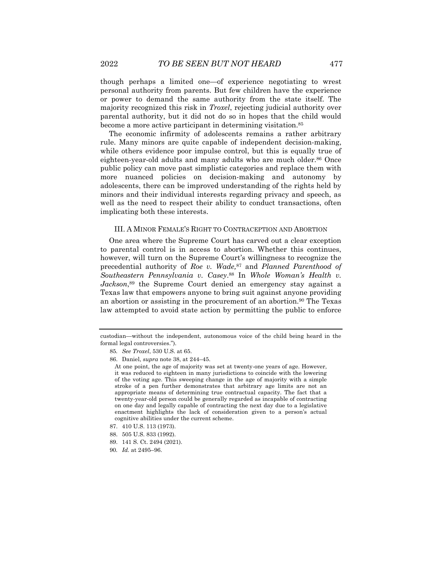though perhaps a limited one—of experience negotiating to wrest personal authority from parents. But few children have the experience or power to demand the same authority from the state itself. The majority recognized this risk in *Troxel*, rejecting judicial authority over parental authority, but it did not do so in hopes that the child would become a more active participant in determining visitation.<sup>85</sup>

The economic infirmity of adolescents remains a rather arbitrary rule. Many minors are quite capable of independent decision-making, while others evidence poor impulse control, but this is equally true of eighteen-year-old adults and many adults who are much older.<sup>86</sup> Once public policy can move past simplistic categories and replace them with more nuanced policies on decision-making and autonomy by adolescents, there can be improved understanding of the rights held by minors and their individual interests regarding privacy and speech, as well as the need to respect their ability to conduct transactions, often implicating both these interests.

#### III. A MINOR FEMALE'S RIGHT TO CONTRACEPTION AND ABORTION

One area where the Supreme Court has carved out a clear exception to parental control is in access to abortion. Whether this continues, however, will turn on the Supreme Court's willingness to recognize the precedential authority of *Roe v. Wade,*<sup>87</sup> and *Planned Parenthood of Southeastern Pennsylvania v. Casey*. <sup>88</sup> In *Whole Woman's Health v. Jackson*, <sup>89</sup> the Supreme Court denied an emergency stay against a Texas law that empowers anyone to bring suit against anyone providing an abortion or assisting in the procurement of an abortion.<sup>90</sup> The Texas law attempted to avoid state action by permitting the public to enforce

custodian—without the independent, autonomous voice of the child being heard in the formal legal controversies.").

<sup>85</sup>*. See Troxel*, 530 U.S. at 65.

<sup>86.</sup> Daniel, *supra* note 38, at 244–45.

At one point, the age of majority was set at twenty-one years of age. However, it was reduced to eighteen in many jurisdictions to coincide with the lowering of the voting age. This sweeping change in the age of majority with a simple stroke of a pen further demonstrates that arbitrary age limits are not an appropriate means of determining true contractual capacity. The fact that a twenty-year-old person could be generally regarded as incapable of contracting on one day and legally capable of contracting the next day due to a legislative enactment highlights the lack of consideration given to a person's actual cognitive abilities under the current scheme.

<sup>87.</sup> 410 U.S. 113 (1973).

<sup>88.</sup> 505 U.S. 833 (1992).

<sup>89.</sup> 141 S. Ct. 2494 (2021).

<sup>90</sup>*. Id.* at 2495–96.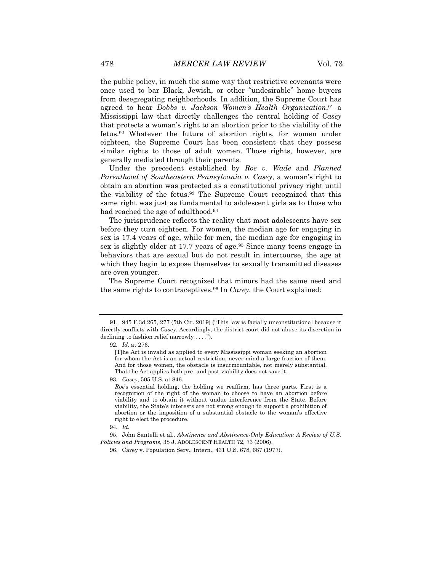the public policy, in much the same way that restrictive covenants were once used to bar Black, Jewish, or other "undesirable" home buyers from desegregating neighborhoods. In addition, the Supreme Court has agreed to hear *Dobbs v. Jackson Women's Health Organization*, <sup>91</sup> a Mississippi law that directly challenges the central holding of *Casey* that protects a woman's right to an abortion prior to the viability of the fetus.<sup>92</sup> Whatever the future of abortion rights, for women under eighteen, the Supreme Court has been consistent that they possess similar rights to those of adult women. Those rights, however, are generally mediated through their parents.

Under the precedent established by *Roe v. Wade* and *Planned Parenthood of Southeastern Pennsylvania v. Casey*, a woman's right to obtain an abortion was protected as a constitutional privacy right until the viability of the fetus.<sup>93</sup> The Supreme Court recognized that this same right was just as fundamental to adolescent girls as to those who had reached the age of adulthood.<sup>94</sup>

The jurisprudence reflects the reality that most adolescents have sex before they turn eighteen. For women, the median age for engaging in sex is 17.4 years of age, while for men, the median age for engaging in sex is slightly older at 17.7 years of age.<sup>95</sup> Since many teens engage in behaviors that are sexual but do not result in intercourse, the age at which they begin to expose themselves to sexually transmitted diseases are even younger.

The Supreme Court recognized that minors had the same need and the same rights to contraceptives.<sup>96</sup> In *Carey*, the Court explained:

<sup>91.</sup> 945 F.3d 265, 277 (5th Cir. 2019) ("This law is facially unconstitutional because it directly conflicts with *Casey*. Accordingly, the district court did not abuse its discretion in declining to fashion relief narrowly . . . .").

<sup>92</sup>*. Id.* at 276.

<sup>[</sup>T]he Act is invalid as applied to every Mississippi woman seeking an abortion for whom the Act is an actual restriction, never mind a large fraction of them. And for those women, the obstacle is insurmountable, not merely substantial. That the Act applies both pre- and post-viability does not save it.

<sup>93</sup>*. Casey*, 505 U.S. at 846.

*Roe*'s essential holding, the holding we reaffirm, has three parts. First is a recognition of the right of the woman to choose to have an abortion before viability and to obtain it without undue interference from the State. Before viability, the State's interests are not strong enough to support a prohibition of abortion or the imposition of a substantial obstacle to the woman's effective right to elect the procedure.

<sup>94</sup>*. Id.*

<sup>95.</sup> John Santelli et al., *Abstinence and Abstinence-Only Education: A Review of U.S. Policies and Programs*, 38 J. ADOLESCENT HEALTH 72, 73 (2006).

<sup>96.</sup> Carey v. Population Serv., Intern., 431 U.S. 678, 687 (1977).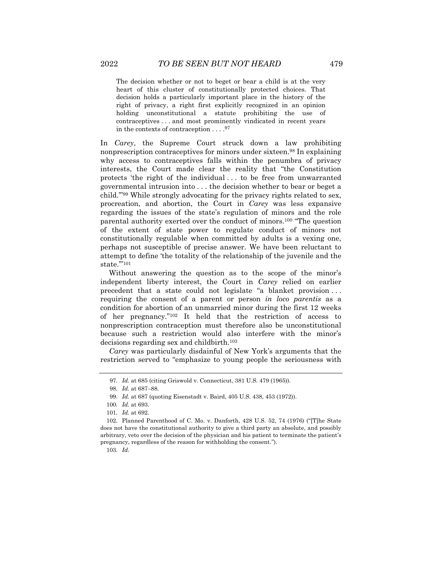The decision whether or not to beget or bear a child is at the very heart of this cluster of constitutionally protected choices. That decision holds a particularly important place in the history of the right of privacy, a right first explicitly recognized in an opinion holding unconstitutional a statute prohibiting the use of contraceptives . . . and most prominently vindicated in recent years in the contexts of contraception . . . . 97

In *Carey*, the Supreme Court struck down a law prohibiting nonprescription contraceptives for minors under sixteen.<sup>98</sup> In explaining why access to contraceptives falls within the penumbra of privacy interests, the Court made clear the reality that "the Constitution protects 'the right of the individual . . . to be free from unwarranted governmental intrusion into . . . the decision whether to bear or beget a child.'"<sup>99</sup> While strongly advocating for the privacy rights related to sex, procreation, and abortion, the Court in *Carey* was less expansive regarding the issues of the state's regulation of minors and the role parental authority exerted over the conduct of minors.<sup>100</sup> "The question of the extent of state power to regulate conduct of minors not constitutionally regulable when committed by adults is a vexing one, perhaps not susceptible of precise answer. We have been reluctant to attempt to define 'the totality of the relationship of the juvenile and the state."'<sup>101</sup>

Without answering the question as to the scope of the minor's independent liberty interest, the Court in *Carey* relied on earlier precedent that a state could not legislate "a blanket provision . . . requiring the consent of a parent or person *in loco parentis* as a condition for abortion of an unmarried minor during the first 12 weeks of her pregnancy."<sup>102</sup> It held that the restriction of access to nonprescription contraception must therefore also be unconstitutional because such a restriction would also interfere with the minor's decisions regarding sex and childbirth.<sup>103</sup>

*Carey* was particularly disdainful of New York's arguments that the restriction served to "emphasize to young people the seriousness with

103*. Id.*

<sup>97</sup>*. Id.* at 685 (citing Griswold v. Connecticut, 381 U.S. 479 (1965)).

<sup>98</sup>*. Id.* at 687–88.

<sup>99</sup>*. Id.* at 687 (quoting Eisenstadt v. Baird, 405 U.S. 438, 453 (1972)).

<sup>100</sup>*. Id.* at 693.

<sup>101</sup>*. Id.* at 692.

<sup>102.</sup> Planned Parenthood of C. Mo. v. Danforth, 428 U.S. 52, 74 (1976) ("[T]he State does not have the constitutional authority to give a third party an absolute, and possibly arbitrary, veto over the decision of the physician and his patient to terminate the patient's pregnancy, regardless of the reason for withholding the consent.").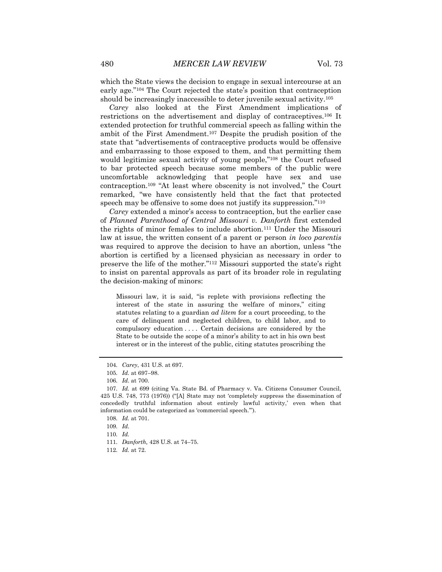which the State views the decision to engage in sexual intercourse at an early age."<sup>104</sup> The Court rejected the state's position that contraception should be increasingly inaccessible to deter juvenile sexual activity.<sup>105</sup>

*Carey* also looked at the First Amendment implications of restrictions on the advertisement and display of contraceptives.<sup>106</sup> It extended protection for truthful commercial speech as falling within the ambit of the First Amendment.<sup>107</sup> Despite the prudish position of the state that "advertisements of contraceptive products would be offensive and embarrassing to those exposed to them, and that permitting them would legitimize sexual activity of young people,"<sup>108</sup> the Court refused to bar protected speech because some members of the public were uncomfortable acknowledging that people have sex and use contraception.<sup>109</sup> "At least where obscenity is not involved," the Court remarked, "we have consistently held that the fact that protected speech may be offensive to some does not justify its suppression."<sup>110</sup>

*Carey* extended a minor's access to contraception, but the earlier case of *Planned Parenthood of Central Missouri v. Danforth* first extended the rights of minor females to include abortion.<sup>111</sup> Under the Missouri law at issue, the written consent of a parent or person *in loco parentis* was required to approve the decision to have an abortion, unless "the abortion is certified by a licensed physician as necessary in order to preserve the life of the mother."<sup>112</sup> Missouri supported the state's right to insist on parental approvals as part of its broader role in regulating the decision-making of minors:

Missouri law, it is said, "is replete with provisions reflecting the interest of the state in assuring the welfare of minors," citing statutes relating to a guardian *ad litem* for a court proceeding, to the care of delinquent and neglected children, to child labor, and to compulsory education . . . . Certain decisions are considered by the State to be outside the scope of a minor's ability to act in his own best interest or in the interest of the public, citing statutes proscribing the

110*. Id.*

<sup>104</sup>*. Carey*, 431 U.S. at 697.

<sup>105</sup>*. Id.* at 697–98.

<sup>106</sup>*. Id.* at 700.

<sup>107</sup>*. Id.* at 699 (citing Va. State Bd. of Pharmacy v. Va. Citizens Consumer Council, 425 U.S. 748, 773 (1976)) ("[A] State may not 'completely suppress the dissemination of concededly truthful information about entirely lawful activity,' even when that information could be categorized as 'commercial speech.'").

<sup>108</sup>*. Id.* at 701.

<sup>109</sup>*. Id.*

<sup>111</sup>*. Danforth,* 428 U.S. at 74–75.

<sup>112</sup>*. Id.* at 72.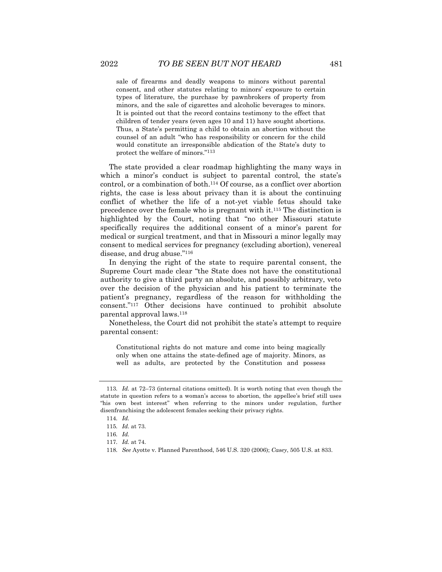sale of firearms and deadly weapons to minors without parental consent, and other statutes relating to minors' exposure to certain types of literature, the purchase by pawnbrokers of property from minors, and the sale of cigarettes and alcoholic beverages to minors. It is pointed out that the record contains testimony to the effect that children of tender years (even ages 10 and 11) have sought abortions. Thus, a State's permitting a child to obtain an abortion without the counsel of an adult "who has responsibility or concern for the child would constitute an irresponsible abdication of the State's duty to protect the welfare of minors."<sup>113</sup>

The state provided a clear roadmap highlighting the many ways in which a minor's conduct is subject to parental control, the state's control, or a combination of both.<sup>114</sup> Of course, as a conflict over abortion rights, the case is less about privacy than it is about the continuing conflict of whether the life of a not-yet viable fetus should take precedence over the female who is pregnant with it.<sup>115</sup> The distinction is highlighted by the Court, noting that "no other Missouri statute specifically requires the additional consent of a minor's parent for medical or surgical treatment, and that in Missouri a minor legally may consent to medical services for pregnancy (excluding abortion), venereal disease, and drug abuse."<sup>116</sup>

In denying the right of the state to require parental consent, the Supreme Court made clear "the State does not have the constitutional authority to give a third party an absolute, and possibly arbitrary, veto over the decision of the physician and his patient to terminate the patient's pregnancy, regardless of the reason for withholding the consent."<sup>117</sup> Other decisions have continued to prohibit absolute parental approval laws.<sup>118</sup>

Nonetheless, the Court did not prohibit the state's attempt to require parental consent:

Constitutional rights do not mature and come into being magically only when one attains the state-defined age of majority. Minors, as well as adults, are protected by the Constitution and possess

<sup>113</sup>*. Id.* at 72–73 (internal citations omitted). It is worth noting that even though the statute in question refers to a woman's access to abortion, the appellee's brief still uses "his own best interest" when referring to the minors under regulation, further disenfranchising the adolescent females seeking their privacy rights.

<sup>114</sup>*. Id.*

<sup>115</sup>*. Id.* at 73.

<sup>116</sup>*. Id.*

<sup>117</sup>*. Id.* at 74.

<sup>118</sup>*. See* Ayotte v. Planned Parenthood, 546 U.S. 320 (2006); *Casey*, 505 U.S. at 833.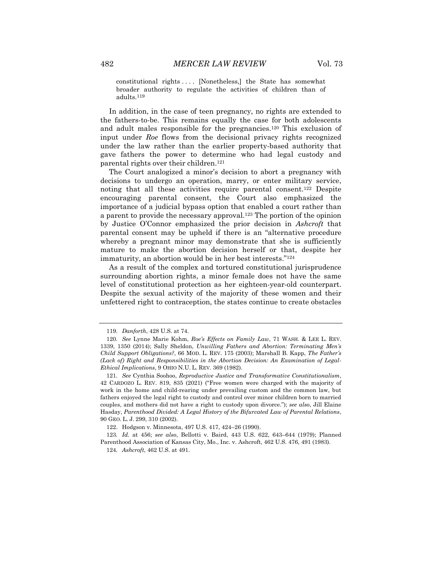constitutional rights . . . . [Nonetheless,] the State has somewhat broader authority to regulate the activities of children than of adults.<sup>119</sup>

In addition, in the case of teen pregnancy, no rights are extended to the fathers-to-be. This remains equally the case for both adolescents and adult males responsible for the pregnancies.<sup>120</sup> This exclusion of input under *Roe* flows from the decisional privacy rights recognized under the law rather than the earlier property-based authority that gave fathers the power to determine who had legal custody and parental rights over their children.<sup>121</sup>

The Court analogized a minor's decision to abort a pregnancy with decisions to undergo an operation, marry, or enter military service, noting that all these activities require parental consent.<sup>122</sup> Despite encouraging parental consent, the Court also emphasized the importance of a judicial bypass option that enabled a court rather than a parent to provide the necessary approval.<sup>123</sup> The portion of the opinion by Justice O'Connor emphasized the prior decision in *Ashcroft* that parental consent may be upheld if there is an "alternative procedure whereby a pregnant minor may demonstrate that she is sufficiently mature to make the abortion decision herself or that, despite her immaturity, an abortion would be in her best interests."<sup>124</sup>

As a result of the complex and tortured constitutional jurisprudence surrounding abortion rights, a minor female does not have the same level of constitutional protection as her eighteen-year-old counterpart. Despite the sexual activity of the majority of these women and their unfettered right to contraception, the states continue to create obstacles

122. Hodgson v. Minnesota, 497 U.S. 417, 424–26 (1990).

123*. Id.* at 456; *see also*, Bellotti v. Baird, 443 U.S. 622, 643–644 (1979); Planned Parenthood Association of Kansas City, Mo., Inc. v. Ashcroft, 462 U.S. 476, 491 (1983).

124*. Ashcroft*, 462 U.S. at 491.

<sup>119</sup>*. Danforth*, 428 U.S. at 74.

<sup>120</sup>*. See* Lynne Marie Kohm, *Roe's Effects on Family Law*, 71 WASH. & LEE L. REV. 1339, 1350 (2014); Sally Sheldon, *Unwilling Fathers and Abortion: Terminating Men's Child Support Obligations?*, 66 MOD. L. REV. 175 (2003); Marshall B. Kapp, *The Father's (Lack of) Right and Responsibilities in the Abortion Decision: An Examination of Legal-Ethical Implications*, 9 OHIO N.U. L. REV. 369 (1982).

<sup>121</sup>*. See* Cynthia Soohoo, *Reproductive Justice and Transformative Constitutionalism*, 42 CARDOZO L. REV. 819, 835 (2021) ("Free women were charged with the majority of work in the home and child-rearing under prevailing custom and the common law, but fathers enjoyed the legal right to custody and control over minor children born to married couples, and mothers did not have a right to custody upon divorce."); *see also*, Jill Elaine Hasday, *Parenthood Divided: A Legal History of the Bifurcated Law of Parental Relations*, 90 GEO. L. J. 299, 310 (2002).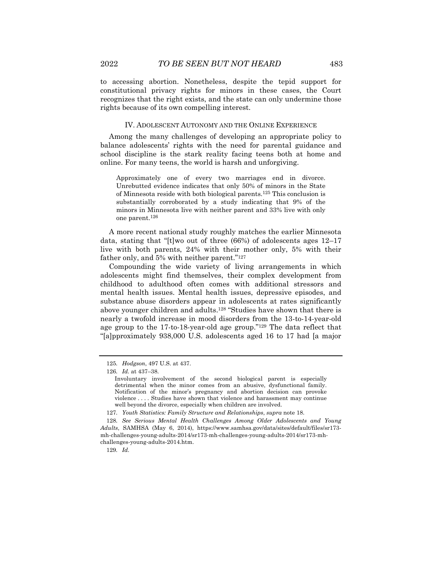to accessing abortion. Nonetheless, despite the tepid support for constitutional privacy rights for minors in these cases, the Court recognizes that the right exists, and the state can only undermine those rights because of its own compelling interest.

#### IV. ADOLESCENT AUTONOMY AND THE ONLINE EXPERIENCE

Among the many challenges of developing an appropriate policy to balance adolescents' rights with the need for parental guidance and school discipline is the stark reality facing teens both at home and online. For many teens, the world is harsh and unforgiving.

Approximately one of every two marriages end in divorce. Unrebutted evidence indicates that only 50% of minors in the State of Minnesota reside with both biological parents.<sup>125</sup> This conclusion is substantially corroborated by a study indicating that 9% of the minors in Minnesota live with neither parent and 33% live with only one parent.<sup>126</sup>

A more recent national study roughly matches the earlier Minnesota data, stating that "[t]wo out of three (66%) of adolescents ages 12–17 live with both parents, 24% with their mother only, 5% with their father only, and 5% with neither parent."<sup>127</sup>

Compounding the wide variety of living arrangements in which adolescents might find themselves, their complex development from childhood to adulthood often comes with additional stressors and mental health issues. Mental health issues, depressive episodes, and substance abuse disorders appear in adolescents at rates significantly above younger children and adults.<sup>128</sup> "Studies have shown that there is nearly a twofold increase in mood disorders from the 13-to-14-year-old age group to the 17-to-18-year-old age group."<sup>129</sup> The data reflect that "[a]pproximately 938,000 U.S. adolescents aged 16 to 17 had [a major

<sup>125</sup>*. Hodgson*, 497 U.S. at 437.

<sup>126</sup>*. Id.* at 437–38.

Involuntary involvement of the second biological parent is especially detrimental when the minor comes from an abusive, dysfunctional family. Notification of the minor's pregnancy and abortion decision can provoke violence . . . . Studies have shown that violence and harassment may continue well beyond the divorce, especially when children are involved.

<sup>127</sup>*. Youth Statistics: Family Structure and Relationships*, *supra* note 18.

<sup>128</sup>*. See Serious Mental Health Challenges Among Older Adolescents and Young Adults*, SAMHSA (May 6, 2014), https://www.samhsa.gov/data/sites/default/files/sr173 mh-challenges-young-adults-2014/sr173-mh-challenges-young-adults-2014/sr173-mhchallenges-young-adults-2014.htm.

<sup>129</sup>*. Id*.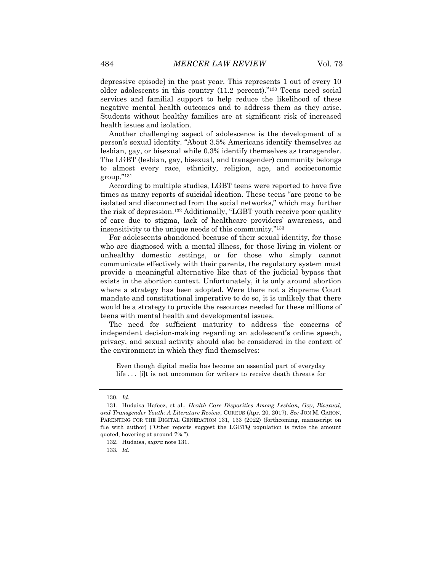depressive episode] in the past year. This represents 1 out of every 10 older adolescents in this country (11.2 percent)."<sup>130</sup> Teens need social services and familial support to help reduce the likelihood of these negative mental health outcomes and to address them as they arise. Students without healthy families are at significant risk of increased health issues and isolation.

Another challenging aspect of adolescence is the development of a person's sexual identity. "About 3.5% Americans identify themselves as lesbian, gay, or bisexual while 0.3% identify themselves as transgender. The LGBT (lesbian, gay, bisexual, and transgender) community belongs to almost every race, ethnicity, religion, age, and socioeconomic group."<sup>131</sup>

According to multiple studies, LGBT teens were reported to have five times as many reports of suicidal ideation. These teens "are prone to be isolated and disconnected from the social networks," which may further the risk of depression.<sup>132</sup> Additionally, "LGBT youth receive poor quality of care due to stigma, lack of healthcare providers' awareness, and insensitivity to the unique needs of this community."<sup>133</sup>

For adolescents abandoned because of their sexual identity, for those who are diagnosed with a mental illness, for those living in violent or unhealthy domestic settings, or for those who simply cannot communicate effectively with their parents, the regulatory system must provide a meaningful alternative like that of the judicial bypass that exists in the abortion context. Unfortunately, it is only around abortion where a strategy has been adopted. Were there not a Supreme Court mandate and constitutional imperative to do so, it is unlikely that there would be a strategy to provide the resources needed for these millions of teens with mental health and developmental issues.

The need for sufficient maturity to address the concerns of independent decision-making regarding an adolescent's online speech, privacy, and sexual activity should also be considered in the context of the environment in which they find themselves:

Even though digital media has become an essential part of everyday life . . . [i]t is not uncommon for writers to receive death threats for

<sup>130</sup>*. Id.*

<sup>131.</sup> Hudaisa Hafeez, et al., *Health Care Disparities Among Lesbian, Gay, Bisexual, and Transgender Youth: A Literature Review*, CUREUS (Apr. 20, 2017). *See* JON M. GARON, PARENTING FOR THE DIGITAL GENERATION 131, 133 (2022) (forthcoming, manuscript on file with author) ("Other reports suggest the LGBTQ population is twice the amount quoted, hovering at around 7%.").

<sup>132.</sup> Hudaisa, *supra* note 131.

<sup>133</sup>*. Id.*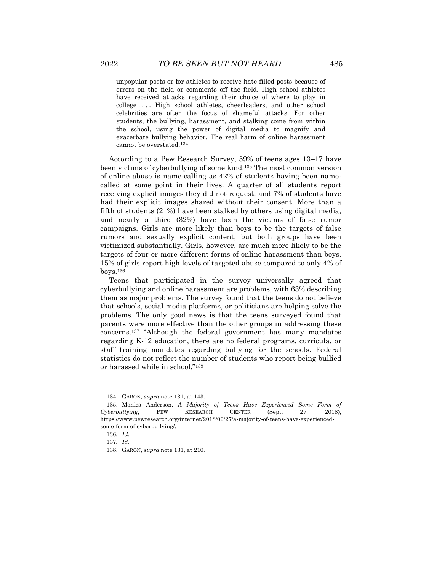unpopular posts or for athletes to receive hate-filled posts because of errors on the field or comments off the field. High school athletes have received attacks regarding their choice of where to play in college . . . . High school athletes, cheerleaders, and other school celebrities are often the focus of shameful attacks. For other students, the bullying, harassment, and stalking come from within the school, using the power of digital media to magnify and exacerbate bullying behavior. The real harm of online harassment cannot be overstated.<sup>134</sup>

According to a Pew Research Survey, 59% of teens ages 13–17 have been victims of cyberbullying of some kind.<sup>135</sup> The most common version of online abuse is name-calling as 42% of students having been namecalled at some point in their lives. A quarter of all students report receiving explicit images they did not request, and 7% of students have had their explicit images shared without their consent. More than a fifth of students (21%) have been stalked by others using digital media, and nearly a third (32%) have been the victims of false rumor campaigns. Girls are more likely than boys to be the targets of false rumors and sexually explicit content, but both groups have been victimized substantially. Girls, however, are much more likely to be the targets of four or more different forms of online harassment than boys. 15% of girls report high levels of targeted abuse compared to only 4% of boys.<sup>136</sup>

Teens that participated in the survey universally agreed that cyberbullying and online harassment are problems, with 63% describing them as major problems. The survey found that the teens do not believe that schools, social media platforms, or politicians are helping solve the problems. The only good news is that the teens surveyed found that parents were more effective than the other groups in addressing these concerns.<sup>137</sup> "Although the federal government has many mandates regarding K-12 education, there are no federal programs, curricula, or staff training mandates regarding bullying for the schools. Federal statistics do not reflect the number of students who report being bullied or harassed while in school."<sup>138</sup>

<sup>134.</sup> GARON, *supra* note 131, at 143.

<sup>135.</sup> Monica Anderson, *A Majority of Teens Have Experienced Some Form of Cyberbullying*, PEW RESEARCH CENTER (Sept. 27, 2018), https://www.pewresearch.org/internet/2018/09/27/a-majority-of-teens-have-experiencedsome-form-of-cyberbullying/.

<sup>136</sup>*. Id.*

<sup>137</sup>*. Id.*

<sup>138.</sup> GARON, *supra* note 131, at 210.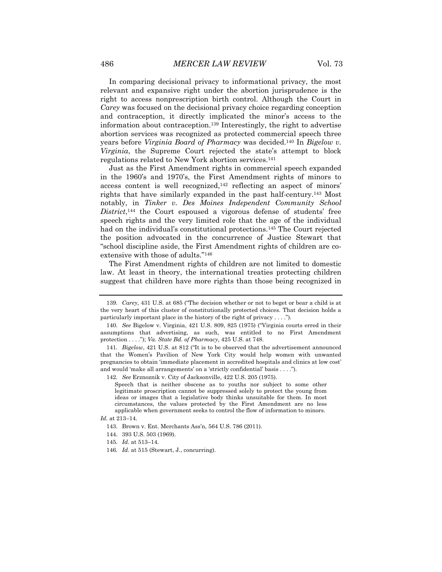In comparing decisional privacy to informational privacy, the most relevant and expansive right under the abortion jurisprudence is the right to access nonprescription birth control. Although the Court in *Carey* was focused on the decisional privacy choice regarding conception and contraception, it directly implicated the minor's access to the information about contraception.<sup>139</sup> Interestingly, the right to advertise abortion services was recognized as protected commercial speech three years before *Virginia Board of Pharmacy* was decided.<sup>140</sup> In *Bigelow v. Virginia*, the Supreme Court rejected the state's attempt to block regulations related to New York abortion services.<sup>141</sup>

Just as the First Amendment rights in commercial speech expanded in the 1960's and 1970's, the First Amendment rights of minors to access content is well recognized,<sup>142</sup> reflecting an aspect of minors' rights that have similarly expanded in the past half-century.<sup>143</sup> Most notably, in *Tinker v. Des Moines Independent Community School*  District,<sup>144</sup> the Court espoused a vigorous defense of students' free speech rights and the very limited role that the age of the individual had on the individual's constitutional protections.<sup>145</sup> The Court rejected the position advocated in the concurrence of Justice Stewart that "school discipline aside, the First Amendment rights of children are coextensive with those of adults."<sup>146</sup>

The First Amendment rights of children are not limited to domestic law. At least in theory, the international treaties protecting children suggest that children have more rights than those being recognized in

142*. See* Erznoznik v. City of Jacksonville, 422 U.S. 205 (1975).

<sup>139</sup>*. Carey*, 431 U.S. at 685 ("The decision whether or not to beget or bear a child is at the very heart of this cluster of constitutionally protected choices. That decision holds a particularly important place in the history of the right of privacy . . . .").

<sup>140</sup>*. See* Bigelow v. Virginia, 421 U.S. 809, 825 (1975) ("Virginia courts erred in their assumptions that advertising, as such, was entitled to no First Amendment protection . . . ."); *Va. State Bd. of Pharmacy*, 425 U.S. at 748.

<sup>141</sup>*. Bigelow*, 421 U.S. at 812 ("It is to be observed that the advertisement announced that the Women's Pavilion of New York City would help women with unwanted pregnancies to obtain 'immediate placement in accredited hospitals and clinics at low cost' and would 'make all arrangements' on a 'strictly confidential' basis . . . .").

Speech that is neither obscene as to youths nor subject to some other legitimate proscription cannot be suppressed solely to protect the young from ideas or images that a legislative body thinks unsuitable for them. In most circumstances, the values protected by the First Amendment are no less applicable when government seeks to control the flow of information to minors.

*Id.* at 213–14.

<sup>143.</sup> Brown v. Ent. Merchants Ass'n, 564 U.S. 786 (2011).

<sup>144.</sup> 393 U.S. 503 (1969).

<sup>145</sup>*. Id.* at 513–14.

<sup>146</sup>*. Id.* at 515 (Stewart, J., concurring).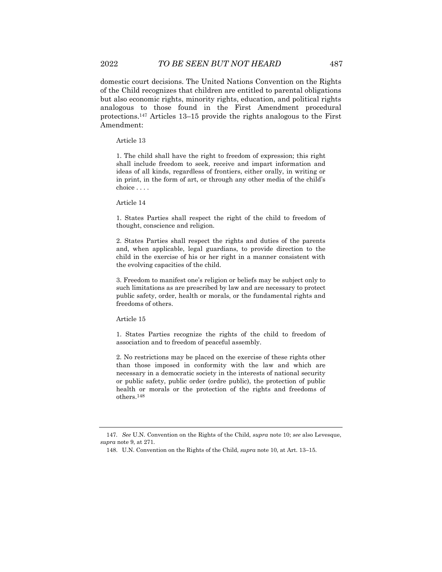domestic court decisions. The United Nations Convention on the Rights of the Child recognizes that children are entitled to parental obligations but also economic rights, minority rights, education, and political rights analogous to those found in the First Amendment procedural protections.<sup>147</sup> Articles 13–15 provide the rights analogous to the First Amendment:

Article 13

1. The child shall have the right to freedom of expression; this right shall include freedom to seek, receive and impart information and ideas of all kinds, regardless of frontiers, either orally, in writing or in print, in the form of art, or through any other media of the child's choice . . . .

Article 14

1. States Parties shall respect the right of the child to freedom of thought, conscience and religion.

2. States Parties shall respect the rights and duties of the parents and, when applicable, legal guardians, to provide direction to the child in the exercise of his or her right in a manner consistent with the evolving capacities of the child.

3. Freedom to manifest one's religion or beliefs may be subject only to such limitations as are prescribed by law and are necessary to protect public safety, order, health or morals, or the fundamental rights and freedoms of others.

Article 15

1. States Parties recognize the rights of the child to freedom of association and to freedom of peaceful assembly.

2. No restrictions may be placed on the exercise of these rights other than those imposed in conformity with the law and which are necessary in a democratic society in the interests of national security or public safety, public order (ordre public), the protection of public health or morals or the protection of the rights and freedoms of others.<sup>148</sup>

<sup>147</sup>*. See* U.N. Convention on the Rights of the Child, *supra* note 10; *see* also Levesque, *supra* note 9, at 271.

<sup>148.</sup> U.N. Convention on the Rights of the Child, *supra* note 10, at Art. 13–15.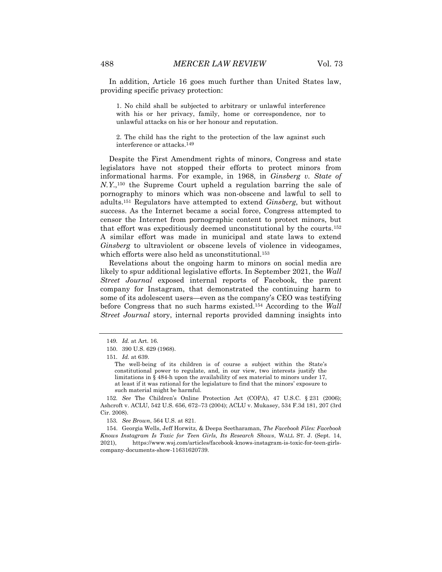In addition, Article 16 goes much further than United States law, providing specific privacy protection:

1. No child shall be subjected to arbitrary or unlawful interference with his or her privacy, family, home or correspondence, nor to unlawful attacks on his or her honour and reputation.

2. The child has the right to the protection of the law against such interference or attacks.<sup>149</sup>

Despite the First Amendment rights of minors, Congress and state legislators have not stopped their efforts to protect minors from informational harms. For example, in 1968, in *Ginsberg v. State of N.Y*., <sup>150</sup> the Supreme Court upheld a regulation barring the sale of pornography to minors which was non-obscene and lawful to sell to adults.<sup>151</sup> Regulators have attempted to extend *Ginsberg*, but without success. As the Internet became a social force, Congress attempted to censor the Internet from pornographic content to protect minors, but that effort was expeditiously deemed unconstitutional by the courts.<sup>152</sup> A similar effort was made in municipal and state laws to extend *Ginsberg* to ultraviolent or obscene levels of violence in videogames, which efforts were also held as unconstitutional.<sup>153</sup>

Revelations about the ongoing harm to minors on social media are likely to spur additional legislative efforts. In September 2021, the *Wall Street Journal* exposed internal reports of Facebook, the parent company for Instagram, that demonstrated the continuing harm to some of its adolescent users—even as the company's CEO was testifying before Congress that no such harms existed.<sup>154</sup> According to the *Wall Street Journal* story, internal reports provided damning insights into

152*. See* The Children's Online Protection Act (COPA), 47 U.S.C. § 231 (2006); Ashcroft v. ACLU, 542 U.S. 656, 672–73 (2004); ACLU v. Mukasey, 534 F.3d 181, 207 (3rd Cir. 2008).

153*. See Brown*, 564 U.S. at 821.

154. Georgia Wells, Jeff Horwitz, & Deepa Seetharaman, *The Facebook Files: Facebook Knows Instagram Is Toxic for Teen Girls, Its Research Shows*, WALL ST. J. (Sept. 14, 2021), https://www.wsj.com/articles/facebook-knows-instagram-is-toxic-for-teen-girlscompany-documents-show-11631620739.

<sup>149</sup>*. Id.* at Art. 16.

<sup>150.</sup> 390 U.S. 629 (1968).

<sup>151</sup>*. Id.* at 639.

The well-being of its children is of course a subject within the State's constitutional power to regulate, and, in our view, two interests justify the limitations in § 484-h upon the availability of sex material to minors under 17, at least if it was rational for the legislature to find that the minors' exposure to such material might be harmful.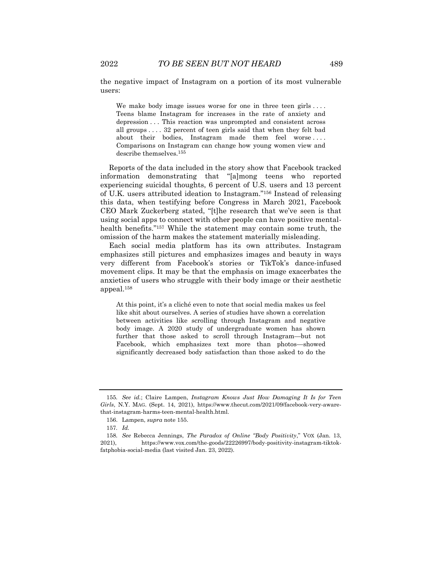the negative impact of Instagram on a portion of its most vulnerable users:

We make body image issues worse for one in three teen girls ... Teens blame Instagram for increases in the rate of anxiety and depression . . . This reaction was unprompted and consistent across all groups . . . . 32 percent of teen girls said that when they felt bad about their bodies, Instagram made them feel worse.... Comparisons on Instagram can change how young women view and describe themselves.<sup>155</sup>

Reports of the data included in the story show that Facebook tracked information demonstrating that "[a]mong teens who reported experiencing suicidal thoughts, 6 percent of U.S. users and 13 percent of U.K. users attributed ideation to Instagram."<sup>156</sup> Instead of releasing this data, when testifying before Congress in March 2021, Facebook CEO Mark Zuckerberg stated, "[t]he research that we've seen is that using social apps to connect with other people can have positive mentalhealth benefits."<sup>157</sup> While the statement may contain some truth, the omission of the harm makes the statement materially misleading.

Each social media platform has its own attributes. Instagram emphasizes still pictures and emphasizes images and beauty in ways very different from Facebook's stories or TikTok's dance-infused movement clips. It may be that the emphasis on image exacerbates the anxieties of users who struggle with their body image or their aesthetic appeal.<sup>158</sup>

At this point, it's a cliché even to note that social media makes us feel like shit about ourselves. A series of studies have shown a correlation between activities like scrolling through Instagram and negative body image. A 2020 study of undergraduate women has shown further that those asked to scroll through Instagram—but not Facebook, which emphasizes text more than photos—showed significantly decreased body satisfaction than those asked to do the

<sup>155</sup>*. See id.*; Claire Lampen, *Instagram Knows Just How Damaging It Is for Teen Girls*, N.Y. MAG. (Sept. 14, 2021), https://www.thecut.com/2021/09/facebook-very-awarethat-instagram-harms-teen-mental-health.html.

<sup>156.</sup> Lampen, *supra* note 155.

<sup>157</sup>*. Id.*

<sup>158</sup>*. See* Rebecca Jennings, *The Paradox of Online "Body Positivity*," VOX (Jan. 13, 2021), https://www.vox.com/the-goods/22226997/body-positivity-instagram-tiktokfatphobia-social-media (last visited Jan. 23, 2022).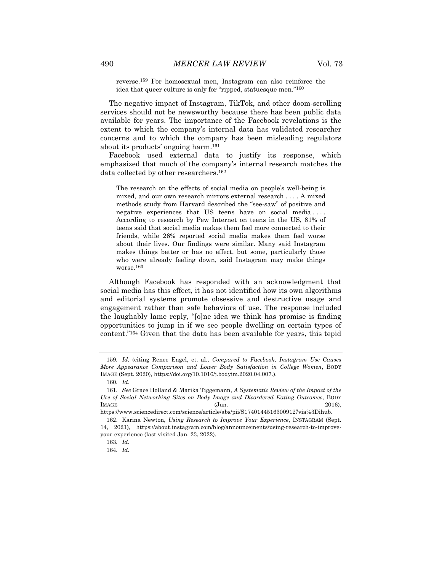reverse.<sup>159</sup> For homosexual men, Instagram can also reinforce the idea that queer culture is only for "ripped, statuesque men."<sup>160</sup>

The negative impact of Instagram, TikTok, and other doom-scrolling services should not be newsworthy because there has been public data available for years. The importance of the Facebook revelations is the extent to which the company's internal data has validated researcher concerns and to which the company has been misleading regulators about its products' ongoing harm.<sup>161</sup>

Facebook used external data to justify its response, which emphasized that much of the company's internal research matches the data collected by other researchers.<sup>162</sup>

The research on the effects of social media on people's well-being is mixed, and our own research mirrors external research . . . . A mixed methods study from Harvard described the "see-saw" of positive and negative experiences that US teens have on social media.... According to research by Pew Internet on teens in the US, 81% of teens said that social media makes them feel more connected to their friends, while 26% reported social media makes them feel worse about their lives. Our findings were similar. Many said Instagram makes things better or has no effect, but some, particularly those who were already feeling down, said Instagram may make things worse.<sup>163</sup>

Although Facebook has responded with an acknowledgment that social media has this effect, it has not identified how its own algorithms and editorial systems promote obsessive and destructive usage and engagement rather than safe behaviors of use. The response included the laughably lame reply, "[o]ne idea we think has promise is finding opportunities to jump in if we see people dwelling on certain types of content."<sup>164</sup> Given that the data has been available for years, this tepid

<sup>159</sup>*. Id.* (citing Renee Engel, et. al., *Compared to Facebook, Instagram Use Causes More Appearance Comparison and Lower Body Satisfaction in College Women*, BODY IMAGE (Sept. 2020), https://doi.org/10.1016/j.bodyim.2020.04.007.).

<sup>160</sup>*. Id.*

<sup>161</sup>*. See* Grace Holland & Marika Tiggemann, *A Systematic Review of the Impact of the Use of Social Networking Sites on Body Image and Disordered Eating Outcomes*, BODY IMAGE (Jun. 2016), 2016),

https://www.sciencedirect.com/science/article/abs/pii/S1740144516300912?via%3Dihub.

<sup>162.</sup> Karina Newton, *Using Research to Improve Your Experience*, INSTAGRAM (Sept. 14, 2021), https://about.instagram.com/blog/announcements/using-research-to-improveyour-experience (last visited Jan. 23, 2022).

<sup>163</sup>*. Id.*

<sup>164</sup>*. Id.*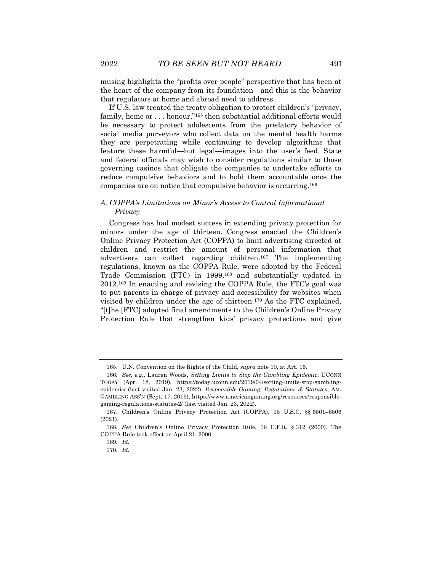musing highlights the "profits over people" perspective that has been at the heart of the company from its foundation—and this is the behavior that regulators at home and abroad need to address.

If U.S. law treated the treaty obligation to protect children's "privacy, family, home or . . . honour,"<sup>165</sup> then substantial additional efforts would be necessary to protect adolescents from the predatory behavior of social media purveyors who collect data on the mental health harms they are perpetrating while continuing to develop algorithms that feature these harmful—but legal—images into the user's feed. State and federal officials may wish to consider regulations similar to those governing casinos that obligate the companies to undertake efforts to reduce compulsive behaviors and to hold them accountable once the companies are on notice that compulsive behavior is occurring.<sup>166</sup>

#### *A. COPPA's Limitations on Minor's Access to Control Informational Privacy*

Congress has had modest success in extending privacy protection for minors under the age of thirteen. Congress enacted the Children's Online Privacy Protection Act (COPPA) to limit advertising directed at children and restrict the amount of personal information that advertisers can collect regarding children.<sup>167</sup> The implementing regulations, known as the COPPA Rule, were adopted by the Federal Trade Commission (FTC) in 1999,<sup>168</sup> and substantially updated in 2012.<sup>169</sup> In enacting and revising the COPPA Rule, the FTC's goal was to put parents in charge of privacy and accessibility for websites when visited by children under the age of thirteen.<sup>170</sup> As the FTC explained, "[t]he [FTC] adopted final amendments to the Children's Online Privacy Protection Rule that strengthen kids' privacy protections and give

<sup>165.</sup> U.N. Convention on the Rights of the Child, *supra* note 10, at Art. 16.

<sup>166</sup>*. See*, *e.g.*, Lauren Woods, *Setting Limits to Stop the Gambling Epidemic*, UCONN TODAY (Apr. 18, 2019), https://today.uconn.edu/2019/04/setting-limits-stop-gamblingepidemic/ (last visited Jan. 23, 2022); *Responsible Gaming: Regulations & Statutes*, AM. GAMBLING ASS'N (Sept. 17, 2019), https://www.americangaming.org/resources/responsiblegaming-regulations-statutes-2/ (last visited Jan. 23, 2022).

<sup>167.</sup> Children's Online Privacy Protection Act (COPPA), 15 U.S.C. §§ 6501–6506 (2021).

<sup>168</sup>*. See* Children's Online Privacy Protection Rule, 16 C.F.R. § 312 (2000). The COPPA Rule took effect on April 21, 2000.

<sup>169</sup>*. Id.*

<sup>170</sup>*. Id.*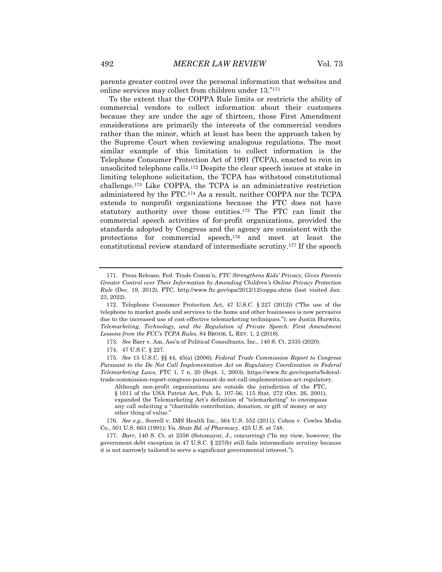parents greater control over the personal information that websites and online services may collect from children under 13."<sup>171</sup>

To the extent that the COPPA Rule limits or restricts the ability of commercial vendors to collect information about their customers because they are under the age of thirteen, those First Amendment considerations are primarily the interests of the commercial vendors rather than the minor, which at least has been the approach taken by the Supreme Court when reviewing analogous regulations. The most similar example of this limitation to collect information is the Telephone Consumer Protection Act of 1991 (TCPA), enacted to rein in unsolicited telephone calls.<sup>172</sup> Despite the clear speech issues at stake in limiting telephone solicitation, the TCPA has withstood constitutional challenge.<sup>173</sup> Like COPPA, the TCPA is an administrative restriction administered by the FTC.<sup>174</sup> As a result, neither COPPA nor the TCPA extends to nonprofit organizations because the FTC does not have statutory authority over those entities.<sup>175</sup> The FTC can limit the commercial speech activities of for-profit organizations, provided the standards adopted by Congress and the agency are consistent with the protections for commercial speech,<sup>176</sup> and meet at least the constitutional review standard of intermediate scrutiny.<sup>177</sup> If the speech

<sup>171.</sup> Press Release, Fed. Trade Comm'n, *FTC Strengthens Kids' Privacy, Gives Parents Greater Control over Their Information by Amending Children's Online Privacy Protection Rule* (Dec. 19, 2012), FTC, http://www.ftc.gov/opa/2012/12/coppa.shtm (last visited Jan. 23, 2022).

<sup>172.</sup> Telephone Consumer Protection Act, 47 U.S.C. § 227 (2012)) ("The use of the telephone to market goods and services to the home and other businesses is now pervasive due to the increased use of cost-effective telemarketing techniques."); *see* Justin Hurwitz, *Telemarketing, Technology, and the Regulation of Private Speech: First Amendment Lessons from the FCC's TCPA Rules*, 84 BROOK. L. REV. 1, 2 (2018).

<sup>173</sup>*. See* Barr v. Am. Ass'n of Political Consultants, Inc., 140 S. Ct. 2335 (2020).

<sup>174.</sup> 47 U.S.C. § 227.

<sup>175</sup>*. See* 15 U.S.C. §§ 44, 45(a) (2006); *Federal Trade Commission Report to Congress Pursuant to the Do Not Call Implementation Act on Regulatory Coordination in Federal Telemarketing Laws*, FTC 1, 7 n. 20 (Sept. 1, 2003), https://www.ftc.gov/reports/federaltrade-commission-report-congress-pursuant-do-not-call-implementation-act-regulatory.

Although non-profit organizations are outside the jurisdiction of the FTC, § 1011 of the USA Patriot Act, Pub. L. 107-56, 115 Stat. 272 (Oct. 26, 2001), expanded the Telemarketing Act's definition of "telemarketing" to encompass any call soliciting a "charitable contribution, donation, or gift of money or any other thing of value."

<sup>176</sup>*. See e.g.*, Sorrell v. IMS Health Inc., 564 U.S. 552 (2011); Cohen v. Cowles Media Co., 501 U.S. 663 (1991); *Va. State Bd. of Pharmacy*, 425 U.S. at 748.

<sup>177</sup>*. Barr*, 140 S. Ct. at 2356 (Sotomayor, J., concurring) ("In my view, however, the government-debt exception in 47 U.S.C. § 227(b) still fails intermediate scrutiny because it is not narrowly tailored to serve a significant governmental interest.").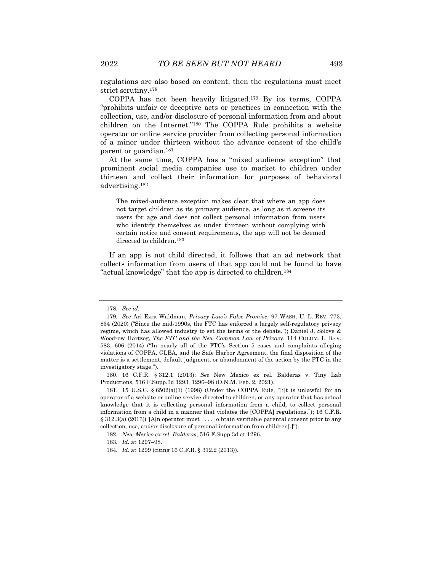regulations are also based on content, then the regulations must meet strict scrutiny.<sup>178</sup>

COPPA has not been heavily litigated.<sup>179</sup> By its terms, COPPA "prohibits unfair or deceptive acts or practices in connection with the collection, use, and/or disclosure of personal information from and about children on the Internet."<sup>180</sup> The COPPA Rule prohibits a website operator or online service provider from collecting personal information of a minor under thirteen without the advance consent of the child's parent or guardian.<sup>181</sup>

At the same time, COPPA has a "mixed audience exception" that prominent social media companies use to market to children under thirteen and collect their information for purposes of behavioral advertising.<sup>182</sup>

The mixed-audience exception makes clear that where an app does not target children as its primary audience, as long as it screens its users for age and does not collect personal information from users who identify themselves as under thirteen without complying with certain notice and consent requirements, the app will not be deemed directed to children.<sup>183</sup>

If an app is not child directed, it follows that an ad network that collects information from users of that app could not be found to have "actual knowledge" that the app is directed to children.<sup>184</sup>

<sup>178</sup>*. See id.*

<sup>179</sup>*. See* Ari Ezra Waldman, *Privacy Law's False Promise*, 97 WASH. U. L. REV. 773, 834 (2020) ("Since the mid-1990s, the FTC has enforced a largely self-regulatory privacy regime, which has allowed industry to set the terms of the debate."); Daniel J. Solove & Woodrow Hartzog, *The FTC and the New Common Law of Privacy*, 114 COLUM. L. REV. 583, 606 (2014) ("In nearly all of the FTC's Section 5 cases and complaints alleging violations of COPPA, GLBA, and the Safe Harbor Agreement, the final disposition of the matter is a settlement, default judgment, or abandonment of the action by the FTC in the investigatory stage.").

<sup>180.</sup> 16 C.F.R. § 312.1 (2013); *See* New Mexico ex rel. Balderas v. Tiny Lab Productions, 516 F.Supp.3d 1293, 1296–98 (D.N.M. Feb. 2, 2021).

<sup>181.</sup> 15 U.S.C. § 6502(a)(1) (1998) (Under the COPPA Rule, "[i]t is unlawful for an operator of a website or online service directed to children, or any operator that has actual knowledge that it is collecting personal information from a child, to collect personal information from a child in a manner that violates the [COPPA] regulations."); 16 C.F.R. § 312.3(a) (2013)("[A]n operator must . . . . [o]btain verifiable parental consent prior to any collection, use, and/or disclosure of personal information from children[.]").

<sup>182</sup>*. New Mexico ex rel. Balderas*, 516 F.Supp.3d at 1296.

<sup>183</sup>*. Id.* at 1297–98.

<sup>184</sup>*. Id.* at 1299 (citing 16 C.F.R. § 312.2 (2013)).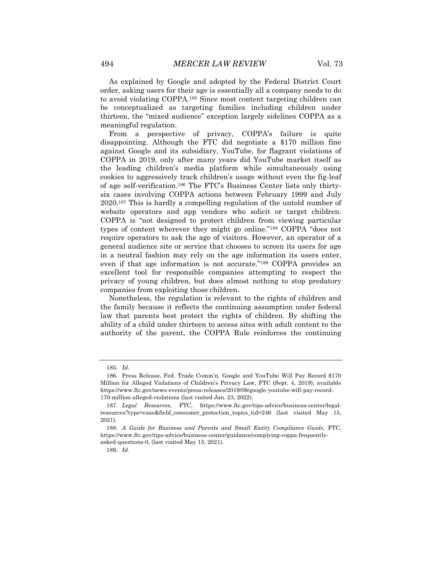As explained by Google and adopted by the Federal District Court order, asking users for their age is essentially all a company needs to do to avoid violating COPPA.<sup>185</sup> Since most content targeting children can be conceptualized as targeting families including children under thirteen, the "mixed audience" exception largely sidelines COPPA as a meaningful regulation.

From a perspective of privacy, COPPA's failure is quite disappointing. Although the FTC did negotiate a \$170 million fine against Google and its subsidiary, YouTube, for flagrant violations of COPPA in 2019, only after many years did YouTube market itself as the leading children's media platform while simultaneously using cookies to aggressively track children's usage without even the fig-leaf of age self-verification.<sup>186</sup> The FTC's Business Center lists only thirtysix cases involving COPPA actions between February 1999 and July 2020.<sup>187</sup> This is hardly a compelling regulation of the untold number of website operators and app vendors who solicit or target children. COPPA is "not designed to protect children from viewing particular types of content wherever they might go online."<sup>188</sup> COPPA "does not require operators to ask the age of visitors. However, an operator of a general audience site or service that chooses to screen its users for age in a neutral fashion may rely on the age information its users enter, even if that age information is not accurate."<sup>189</sup> COPPA provides an excellent tool for responsible companies attempting to respect the privacy of young children, but does almost nothing to stop predatory companies from exploiting those children.

Nonetheless, the regulation is relevant to the rights of children and the family because it reflects the continuing assumption under federal law that parents best protect the rights of children. By shifting the ability of a child under thirteen to access sites with adult content to the authority of the parent, the COPPA Rule reinforces the continuing

<sup>185</sup>*. Id.*

<sup>186.</sup> Press Release, Fed. Trade Comm'n, Google and YouTube Will Pay Record \$170 Million for Alleged Violations of Children's Privacy Law, FTC (Sept. 4, 2019), available https://www.ftc.gov/news-events/press-releases/2019/09/google-youtube-will-pay-record-170-million-alleged-violations (last visited Jan. 23, 2022).

<sup>187</sup>*. Legal Resources*, FTC, https://www.ftc.gov/tips-advice/business-center/legalresources?type=case&field\_consumer\_protection\_topics\_tid=246 (last visited May 15, 2021).

<sup>188</sup>*. A Guide for Business and Parents and Small Entity Compliance Guide*, FTC, https://www.ftc.gov/tips-advice/business-center/guidance/complying-coppa-frequentlyasked-questions-0, (last visited May 15, 2021).

<sup>189</sup>*. Id.*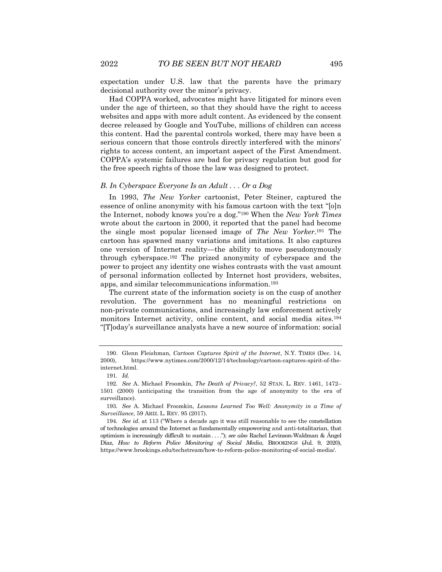expectation under U.S. law that the parents have the primary decisional authority over the minor's privacy.

Had COPPA worked, advocates might have litigated for minors even under the age of thirteen, so that they should have the right to access websites and apps with more adult content. As evidenced by the consent decree released by Google and YouTube, millions of children can access this content. Had the parental controls worked, there may have been a serious concern that those controls directly interfered with the minors' rights to access content, an important aspect of the First Amendment. COPPA's systemic failures are bad for privacy regulation but good for the free speech rights of those the law was designed to protect.

#### *B. In Cyberspace Everyone Is an Adult . . . Or a Dog*

In 1993, *The New Yorker* cartoonist, Peter Steiner, captured the essence of online anonymity with his famous cartoon with the text "[o]n the Internet, nobody knows you're a dog."<sup>190</sup> When the *New York Times* wrote about the cartoon in 2000, it reported that the panel had become the single most popular licensed image of *The New Yorker*. <sup>191</sup> The cartoon has spawned many variations and imitations. It also captures one version of Internet reality—the ability to move pseudonymously through cyberspace.<sup>192</sup> The prized anonymity of cyberspace and the power to project any identity one wishes contrasts with the vast amount of personal information collected by Internet host providers, websites, apps, and similar telecommunications information.<sup>193</sup>

The current state of the information society is on the cusp of another revolution. The government has no meaningful restrictions on non-private communications, and increasingly law enforcement actively monitors Internet activity, online content, and social media sites.<sup>194</sup> "[T]oday's surveillance analysts have a new source of information: social

<sup>190.</sup> Glenn Fleishman, *Cartoon Captures Spirit of the Internet*, N.Y. TIMES (Dec. 14, 2000), https://www.nytimes.com/2000/12/14/technology/cartoon-captures-spirit-of-theinternet.html.

<sup>191</sup>*. Id.*

<sup>192</sup>*. See* A. Michael Froomkin, *The Death of Privacy?*, 52 STAN. L. REV. 1461, 1472– 1501 (2000) (anticipating the transition from the age of anonymity to the era of surveillance).

<sup>193</sup>*. See* A. Michael Froomkin, *Lessons Learned Too Well: Anonymity in a Time of Surveillance*, 59 ARIZ. L. REV. 95 (2017).

<sup>194</sup>*. See id.* at 113 ("Where a decade ago it was still reasonable to see the constellation of technologies around the Internet as fundamentally empowering and anti-totalitarian, that optimism is increasingly difficult to sustain . . . ."); *see also* Rachel Levinson-Waldman & Ángel Díaz, *How to Reform Police Monitoring of Social Media*, BROOKINGS (Jul. 9, 2020), https://www.brookings.edu/techstream/how-to-reform-police-monitoring-of-social-media/.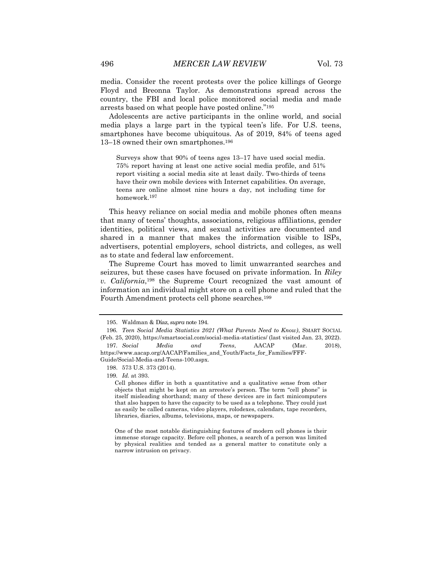media. Consider the recent protests over the police killings of George Floyd and Breonna Taylor. As demonstrations spread across the country, the FBI and local police monitored social media and made arrests based on what people have posted online."<sup>195</sup>

Adolescents are active participants in the online world, and social media plays a large part in the typical teen's life. For U.S. teens, smartphones have become ubiquitous. As of 2019, 84% of teens aged 13–18 owned their own smartphones.<sup>196</sup>

Surveys show that 90% of teens ages 13–17 have used social media. 75% report having at least one active social media profile, and 51% report visiting a social media site at least daily. Two-thirds of teens have their own mobile devices with Internet capabilities. On average, teens are online almost nine hours a day, not including time for homework.<sup>197</sup>

This heavy reliance on social media and mobile phones often means that many of teens' thoughts, associations, religious affiliations, gender identities, political views, and sexual activities are documented and shared in a manner that makes the information visible to ISPs, advertisers, potential employers, school districts, and colleges, as well as to state and federal law enforcement.

The Supreme Court has moved to limit unwarranted searches and seizures, but these cases have focused on private information. In *Riley v. California*, <sup>198</sup> the Supreme Court recognized the vast amount of information an individual might store on a cell phone and ruled that the Fourth Amendment protects cell phone searches.<sup>199</sup>

Guide/Social-Media-and-Teens-100.aspx.

<sup>195.</sup> Waldman & Díaz, *supra* note 194.

<sup>196</sup>*. Teen Social Media Statistics 2021 (What Parents Need to Know)*, SMART SOCIAL (Feb. 25, 2020), https://smartsocial.com/social-media-statistics/ (last visited Jan. 23, 2022). 197*. Social Media and Teens*, AACAP (Mar. 2018), https://www.aacap.org/AACAP/Families\_and\_Youth/Facts\_for\_Families/FFF-

<sup>198.</sup> 573 U.S. 373 (2014).

<sup>199</sup>*. Id.* at 393.

Cell phones differ in both a quantitative and a qualitative sense from other objects that might be kept on an arrestee's person. The term "cell phone" is itself misleading shorthand; many of these devices are in fact minicomputers that also happen to have the capacity to be used as a telephone. They could just as easily be called cameras, video players, rolodexes, calendars, tape recorders, libraries, diaries, albums, televisions, maps, or newspapers.

One of the most notable distinguishing features of modern cell phones is their immense storage capacity. Before cell phones, a search of a person was limited by physical realities and tended as a general matter to constitute only a narrow intrusion on privacy.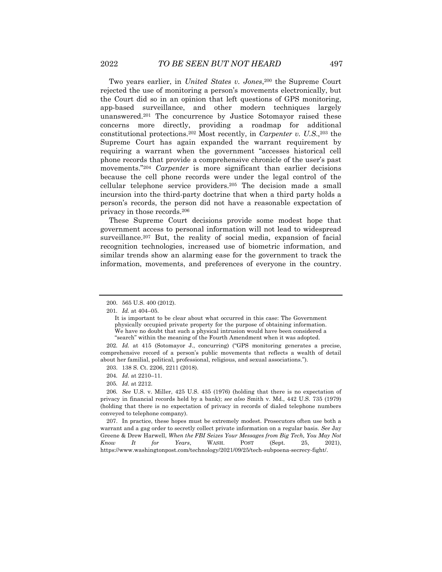Two years earlier, in *United States v. Jones*, <sup>200</sup> the Supreme Court rejected the use of monitoring a person's movements electronically, but the Court did so in an opinion that left questions of GPS monitoring, app-based surveillance, and other modern techniques largely unanswered.<sup>201</sup> The concurrence by Justice Sotomayor raised these concerns more directly, providing a roadmap for additional constitutional protections.<sup>202</sup> Most recently, in *Carpenter v. U.S*., <sup>203</sup> the Supreme Court has again expanded the warrant requirement by requiring a warrant when the government "accesses historical cell phone records that provide a comprehensive chronicle of the user's past movements."<sup>204</sup> *Carpenter* is more significant than earlier decisions because the cell phone records were under the legal control of the cellular telephone service providers.<sup>205</sup> The decision made a small incursion into the third-party doctrine that when a third party holds a person's records, the person did not have a reasonable expectation of privacy in those records.<sup>206</sup>

These Supreme Court decisions provide some modest hope that government access to personal information will not lead to widespread surveillance.<sup>207</sup> But, the reality of social media, expansion of facial recognition technologies, increased use of biometric information, and similar trends show an alarming ease for the government to track the information, movements, and preferences of everyone in the country.

201*. Id.* at 404–05.

<sup>200.</sup> 565 U.S. 400 (2012).

It is important to be clear about what occurred in this case: The Government physically occupied private property for the purpose of obtaining information. We have no doubt that such a physical intrusion would have been considered a "search" within the meaning of the Fourth Amendment when it was adopted.

<sup>202</sup>*. Id.* at 415 (Sotomayor J., concurring) ("GPS monitoring generates a precise, comprehensive record of a person's public movements that reflects a wealth of detail about her familial, political, professional, religious, and sexual associations.").

<sup>203.</sup> 138 S. Ct. 2206, 2211 (2018).

<sup>204</sup>*. Id.* at 2210–11.

<sup>205</sup>*. Id.* at 2212.

<sup>206</sup>*. See* U.S. v. Miller, 425 U.S. 435 (1976) (holding that there is no expectation of privacy in financial records held by a bank); *see also* Smith v. Md., 442 U.S. 735 (1979) (holding that there is no expectation of privacy in records of dialed telephone numbers conveyed to telephone company).

<sup>207.</sup> In practice, these hopes must be extremely modest. Prosecutors often use both a warrant and a gag order to secretly collect private information on a regular basis. *See* Jay Greene & Drew Harwell, *When the FBI Seizes Your Messages from Big Tech, You May Not Know It for Years*, WASH. POST (Sept. 25, 2021), https://www.washingtonpost.com/technology/2021/09/25/tech-subpoena-secrecy-fight/.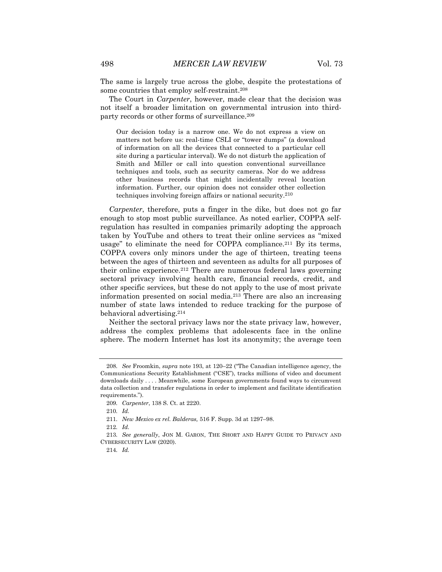The same is largely true across the globe, despite the protestations of some countries that employ self-restraint.<sup>208</sup>

The Court in *Carpenter*, however, made clear that the decision was not itself a broader limitation on governmental intrusion into thirdparty records or other forms of surveillance.<sup>209</sup>

Our decision today is a narrow one. We do not express a view on matters not before us: real-time CSLI or "tower dumps" (a download of information on all the devices that connected to a particular cell site during a particular interval). We do not disturb the application of Smith and Miller or call into question conventional surveillance techniques and tools, such as security cameras. Nor do we address other business records that might incidentally reveal location information. Further, our opinion does not consider other collection techniques involving foreign affairs or national security.<sup>210</sup>

*Carpenter*, therefore, puts a finger in the dike, but does not go far enough to stop most public surveillance. As noted earlier, COPPA selfregulation has resulted in companies primarily adopting the approach taken by YouTube and others to treat their online services as "mixed usage" to eliminate the need for COPPA compliance.<sup>211</sup> By its terms, COPPA covers only minors under the age of thirteen, treating teens between the ages of thirteen and seventeen as adults for all purposes of their online experience.<sup>212</sup> There are numerous federal laws governing sectoral privacy involving health care, financial records, credit, and other specific services, but these do not apply to the use of most private information presented on social media.<sup>213</sup> There are also an increasing number of state laws intended to reduce tracking for the purpose of behavioral advertising.<sup>214</sup>

Neither the sectoral privacy laws nor the state privacy law, however, address the complex problems that adolescents face in the online sphere. The modern Internet has lost its anonymity; the average teen

212*. Id.*

<sup>208</sup>*. See* Froomkin, *supra* note 193, at 120–22 ("The Canadian intelligence agency, the Communications Security Establishment ("CSE"), tracks millions of video and document downloads daily . . . . Meanwhile, some European governments found ways to circumvent data collection and transfer regulations in order to implement and facilitate identification requirements.").

<sup>209</sup>*. Carpenter*, 138 S. Ct. at 2220.

<sup>210</sup>*. Id.*

<sup>211</sup>*. New Mexico ex rel. Balderas,* 516 F. Supp. 3d at 1297–98.

<sup>213</sup>*. See generally*, JON M. GARON, THE SHORT AND HAPPY GUIDE TO PRIVACY AND CYBERSECURITY LAW (2020).

<sup>214</sup>*. Id.*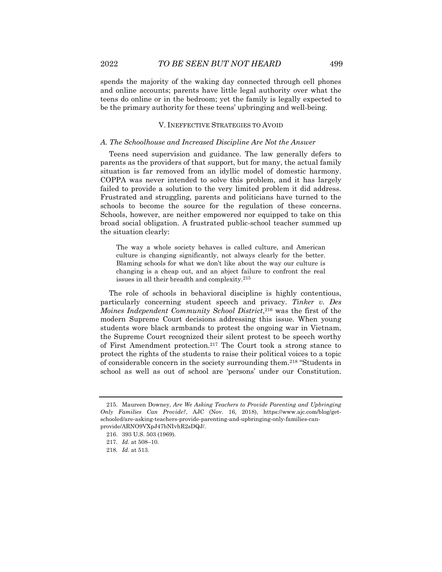spends the majority of the waking day connected through cell phones and online accounts; parents have little legal authority over what the teens do online or in the bedroom; yet the family is legally expected to be the primary authority for these teens' upbringing and well-being.

#### V. INEFFECTIVE STRATEGIES TO AVOID

#### *A. The Schoolhouse and Increased Discipline Are Not the Answer*

Teens need supervision and guidance. The law generally defers to parents as the providers of that support, but for many, the actual family situation is far removed from an idyllic model of domestic harmony. COPPA was never intended to solve this problem, and it has largely failed to provide a solution to the very limited problem it did address. Frustrated and struggling, parents and politicians have turned to the schools to become the source for the regulation of these concerns. Schools, however, are neither empowered nor equipped to take on this broad social obligation. A frustrated public-school teacher summed up the situation clearly:

The way a whole society behaves is called culture, and American culture is changing significantly, not always clearly for the better. Blaming schools for what we don't like about the way our culture is changing is a cheap out, and an abject failure to confront the real issues in all their breadth and complexity.<sup>215</sup>

The role of schools in behavioral discipline is highly contentious, particularly concerning student speech and privacy. *Tinker v. Des Moines Independent Community School District*, <sup>216</sup> was the first of the modern Supreme Court decisions addressing this issue. When young students wore black armbands to protest the ongoing war in Vietnam, the Supreme Court recognized their silent protest to be speech worthy of First Amendment protection.<sup>217</sup> The Court took a strong stance to protect the rights of the students to raise their political voices to a topic of considerable concern in the society surrounding them.<sup>218</sup> "Students in school as well as out of school are 'persons' under our Constitution.

<sup>215.</sup> Maureen Downey, *Are We Asking Teachers to Provide Parenting and Upbringing Only Families Can Provide?*, AJC (Nov. 16, 2018), https://www.ajc.com/blog/getschooled/are-asking-teachers-provide-parenting-and-upbringing-only-families-canprovide/ARNO9VXpJ47bNIvhR2sDQJ/.

<sup>216.</sup> 393 U.S. 503 (1969).

<sup>217</sup>*. Id.* at 508–10.

<sup>218</sup>*. Id.* at 513.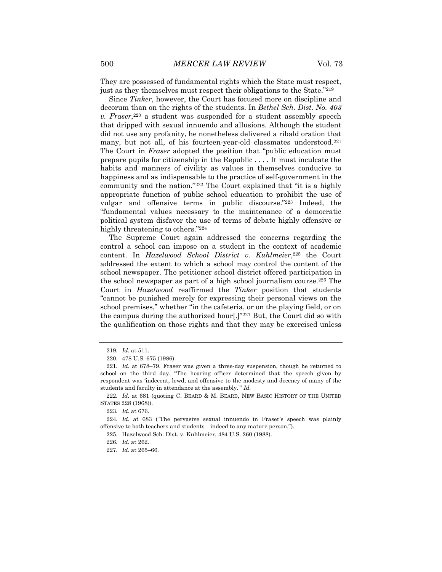They are possessed of fundamental rights which the State must respect, just as they themselves must respect their obligations to the State."<sup>219</sup>

Since *Tinker*, however, the Court has focused more on discipline and decorum than on the rights of the students. In *Bethel Sch. Dist. No. 403 v. Fraser*, <sup>220</sup> a student was suspended for a student assembly speech that dripped with sexual innuendo and allusions. Although the student did not use any profanity, he nonetheless delivered a ribald oration that many, but not all, of his fourteen-year-old classmates understood.<sup>221</sup> The Court in *Fraser* adopted the position that "public education must prepare pupils for citizenship in the Republic . . . . It must inculcate the habits and manners of civility as values in themselves conducive to happiness and as indispensable to the practice of self-government in the community and the nation."<sup>222</sup> The Court explained that "it is a highly appropriate function of public school education to prohibit the use of vulgar and offensive terms in public discourse."<sup>223</sup> Indeed, the "fundamental values necessary to the maintenance of a democratic political system disfavor the use of terms of debate highly offensive or highly threatening to others."<sup>224</sup>

The Supreme Court again addressed the concerns regarding the control a school can impose on a student in the context of academic content. In *Hazelwood School District v. Kuhlmeier*, <sup>225</sup> the Court addressed the extent to which a school may control the content of the school newspaper. The petitioner school district offered participation in the school newspaper as part of a high school journalism course.<sup>226</sup> The Court in *Hazelwood* reaffirmed the *Tinker* position that students "cannot be punished merely for expressing their personal views on the school premises," whether "in the cafeteria, or on the playing field, or on the campus during the authorized hour[.]"<sup>227</sup> But, the Court did so with the qualification on those rights and that they may be exercised unless

<sup>219</sup>*. Id*. at 511.

<sup>220.</sup> 478 U.S. 675 (1986).

<sup>221</sup>*. Id*. at 678–79. Fraser was given a three-day suspension, though he returned to school on the third day. "The hearing officer determined that the speech given by respondent was 'indecent, lewd, and offensive to the modesty and decency of many of the students and faculty in attendance at the assembly.'" *Id.*

<sup>222</sup>*. Id*. at 681 (quoting C. BEARD & M. BEARD, NEW BASIC HISTORY OF THE UNITED STATES 228 (1968)).

<sup>223</sup>*. Id*. at 676.

<sup>224</sup>*. Id.* at 683 ("The pervasive sexual innuendo in Fraser's speech was plainly offensive to both teachers and students—indeed to any mature person.").

<sup>225.</sup> Hazelwood Sch. Dist. v. Kuhlmeier, 484 U.S. 260 (1988).

<sup>226</sup>*. Id.* at 262.

<sup>227</sup>*. Id.* at 265–66.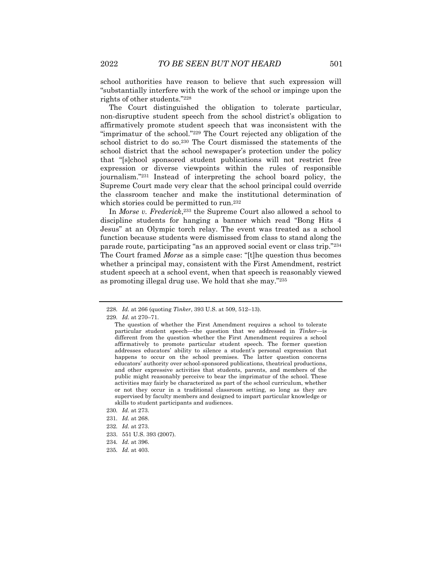school authorities have reason to believe that such expression will "substantially interfere with the work of the school or impinge upon the rights of other students."<sup>228</sup>

The Court distinguished the obligation to tolerate particular, non-disruptive student speech from the school district's obligation to affirmatively promote student speech that was inconsistent with the "imprimatur of the school."<sup>229</sup> The Court rejected any obligation of the school district to do so.<sup>230</sup> The Court dismissed the statements of the school district that the school newspaper's protection under the policy that "[s]chool sponsored student publications will not restrict free expression or diverse viewpoints within the rules of responsible journalism."<sup>231</sup> Instead of interpreting the school board policy, the Supreme Court made very clear that the school principal could override the classroom teacher and make the institutional determination of which stories could be permitted to run.<sup>232</sup>

In *Morse v. Frederick*, <sup>233</sup> the Supreme Court also allowed a school to discipline students for hanging a banner which read "Bong Hits 4 Jesus" at an Olympic torch relay. The event was treated as a school function because students were dismissed from class to stand along the parade route, participating "as an approved social event or class trip."<sup>234</sup> The Court framed *Morse* as a simple case: "[t]he question thus becomes whether a principal may, consistent with the First Amendment, restrict student speech at a school event, when that speech is reasonably viewed as promoting illegal drug use. We hold that she may."<sup>235</sup>

- 234*. Id.* at 396.
- 235*. Id.* at 403.

<sup>228</sup>*. Id.* at 266 (quoting *Tinker*, 393 U.S. at 509, 512–13).

<sup>229</sup>*. Id*. at 270–71.

The question of whether the First Amendment requires a school to tolerate particular student speech—the question that we addressed in *Tinker*—is different from the question whether the First Amendment requires a school affirmatively to promote particular student speech. The former question addresses educators' ability to silence a student's personal expression that happens to occur on the school premises. The latter question concerns educators' authority over school-sponsored publications, theatrical productions, and other expressive activities that students, parents, and members of the public might reasonably perceive to bear the imprimatur of the school. These activities may fairly be characterized as part of the school curriculum, whether or not they occur in a traditional classroom setting, so long as they are supervised by faculty members and designed to impart particular knowledge or skills to student participants and audiences.

<sup>230</sup>*. Id.* at 273.

<sup>231</sup>*. Id.* at 268.

<sup>232</sup>*. Id.* at 273.

<sup>233.</sup> 551 U.S. 393 (2007).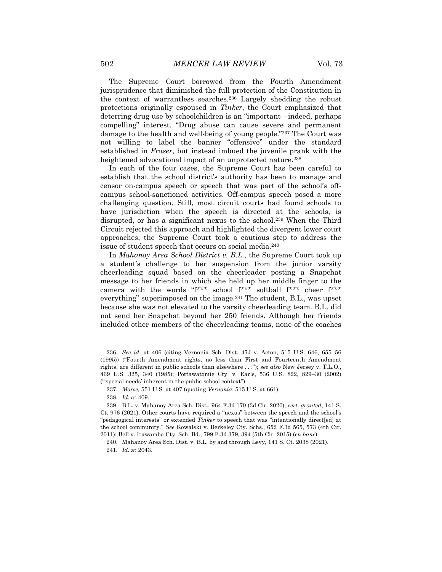The Supreme Court borrowed from the Fourth Amendment jurisprudence that diminished the full protection of the Constitution in the context of warrantless searches.<sup>236</sup> Largely shedding the robust protections originally espoused in *Tinker*, the Court emphasized that deterring drug use by schoolchildren is an "important—indeed, perhaps compelling" interest. "Drug abuse can cause severe and permanent damage to the health and well-being of young people."<sup>237</sup> The Court was not willing to label the banner "offensive" under the standard established in *Fraser*, but instead imbued the juvenile prank with the heightened advocational impact of an unprotected nature.<sup>238</sup>

In each of the four cases, the Supreme Court has been careful to establish that the school district's authority has been to manage and censor on-campus speech or speech that was part of the school's offcampus school-sanctioned activities. Off-campus speech posed a more challenging question. Still, most circuit courts had found schools to have jurisdiction when the speech is directed at the schools, is disrupted, or has a significant nexus to the school.<sup>239</sup> When the Third Circuit rejected this approach and highlighted the divergent lower court approaches, the Supreme Court took a cautious step to address the issue of student speech that occurs on social media.<sup>240</sup>

In *Mahanoy Area School District v. B.L.*, the Supreme Court took up a student's challenge to her suspension from the junior varsity cheerleading squad based on the cheerleader posting a Snapchat message to her friends in which she held up her middle finger to the camera with the words "f\*\*\* school f\*\*\* softball f\*\*\* cheer f\*\*\* everything" superimposed on the image.<sup>241</sup> The student, B.L., was upset because she was not elevated to the varsity cheerleading team. B.L. did not send her Snapchat beyond her 250 friends. Although her friends included other members of the cheerleading teams, none of the coaches

<sup>236</sup>*. See id*. at 406 (citing Vernonia Sch. Dist. 47J v. Acton, 515 U.S. 646, 655–56 (1995)) ("Fourth Amendment rights, no less than First and Fourteenth Amendment rights, are different in public schools than elsewhere . . ."); *see also* New Jersey v. T.L.O., 469 U.S. 325, 340 (1985); Pottawatomie Cty. v. Earls, 536 U.S. 822, 829–30 (2002) ("'special needs' inherent in the public-school context").

<sup>237</sup>*. Morse,* 551 U.S. at 407 (quoting *Vernonia*, 515 U.S. at 661).

<sup>238</sup>*. Id.* at 409.

<sup>239.</sup> B.L. v. Mahanoy Area Sch. Dist., 964 F.3d 170 (3d Cir. 2020), *cert. granted*, 141 S. Ct. 976 (2021). Other courts have required a "nexus" between the speech and the school's "pedagogical interests" or extended *Tinker* to speech that was "intentionally direct[ed] at the school community." *See* Kowalski v. Berkeley Cty. Schs., 652 F.3d 565, 573 (4th Cir. 2011); Bell v. Itawamba Cty. Sch. Bd., 799 F.3d 379, 394 (5th Cir. 2015) (*en banc*).

<sup>240.</sup> Mahanoy Area Sch. Dist. v. B.L. by and through Levy, 141 S. Ct. 2038 (2021).

<sup>241</sup>*. Id.* at 2043.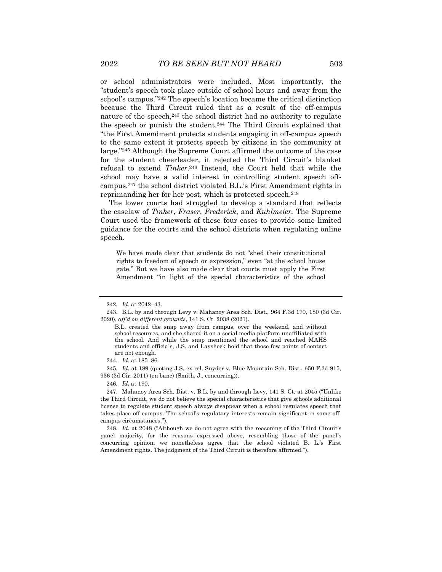or school administrators were included. Most importantly, the "student's speech took place outside of school hours and away from the school's campus."<sup>242</sup> The speech's location became the critical distinction because the Third Circuit ruled that as a result of the off-campus nature of the speech,  $243$  the school district had no authority to regulate the speech or punish the student.<sup>244</sup> The Third Circuit explained that "the First Amendment protects students engaging in off-campus speech to the same extent it protects speech by citizens in the community at large."<sup>245</sup> Although the Supreme Court affirmed the outcome of the case for the student cheerleader, it rejected the Third Circuit's blanket refusal to extend *Tinker*. <sup>246</sup> Instead, the Court held that while the school may have a valid interest in controlling student speech offcampus,<sup>247</sup> the school district violated B.L.'s First Amendment rights in reprimanding her for her post, which is protected speech.<sup>248</sup>

The lower courts had struggled to develop a standard that reflects the caselaw of *Tinker*, *Fraser*, *Frederick*, and *Kuhlmeier.* The Supreme Court used the framework of these four cases to provide some limited guidance for the courts and the school districts when regulating online speech.

We have made clear that students do not "shed their constitutional rights to freedom of speech or expression," even "at the school house gate." But we have also made clear that courts must apply the First Amendment "in light of the special characteristics of the school

<sup>242</sup>*. Id.* at 2042–43.

<sup>243.</sup> B.L. by and through Levy v. Mahanoy Area Sch. Dist., 964 F.3d 170, 180 (3d Cir. 2020), *aff'd on different grounds*, 141 S. Ct. 2038 (2021).

B.L. created the snap away from campus, over the weekend, and without school resources, and she shared it on a social media platform unaffiliated with the school. And while the snap mentioned the school and reached MAHS students and officials, J.S. and Layshock hold that those few points of contact are not enough.

<sup>244</sup>*. Id.* at 185–86.

<sup>245</sup>*. Id.* at 189 (quoting J.S. ex rel. Snyder v. Blue Mountain Sch. Dist., 650 F.3d 915, 936 (3d Cir. 2011) (en banc) (Smith, J., concurring)).

<sup>246</sup>*. Id.* at 190.

<sup>247.</sup> Mahanoy Area Sch. Dist. v. B.L. by and through Levy, 141 S. Ct. at 2045 ("Unlike the Third Circuit, we do not believe the special characteristics that give schools additional license to regulate student speech always disappear when a school regulates speech that takes place off campus. The school's regulatory interests remain significant in some offcampus circumstances.").

<sup>248</sup>*. Id.* at 2048 ("Although we do not agree with the reasoning of the Third Circuit's panel majority, for the reasons expressed above, resembling those of the panel's concurring opinion, we nonetheless agree that the school violated B. L.'s First Amendment rights. The judgment of the Third Circuit is therefore affirmed.").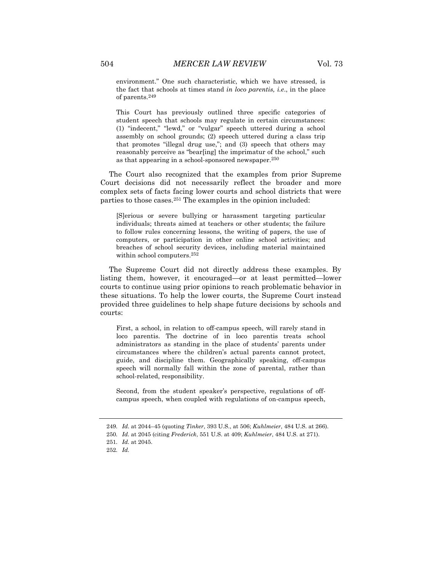environment." One such characteristic, which we have stressed, is the fact that schools at times stand *in loco parentis, i.e*., in the place of parents.<sup>249</sup>

This Court has previously outlined three specific categories of student speech that schools may regulate in certain circumstances: (1) "indecent," "lewd," or "vulgar" speech uttered during a school assembly on school grounds; (2) speech uttered during a class trip that promotes "illegal drug use,"; and (3) speech that others may reasonably perceive as "bear[ing] the imprimatur of the school," such as that appearing in a school-sponsored newspaper.<sup>250</sup>

The Court also recognized that the examples from prior Supreme Court decisions did not necessarily reflect the broader and more complex sets of facts facing lower courts and school districts that were parties to those cases.<sup>251</sup> The examples in the opinion included:

[S]erious or severe bullying or harassment targeting particular individuals; threats aimed at teachers or other students; the failure to follow rules concerning lessons, the writing of papers, the use of computers, or participation in other online school activities; and breaches of school security devices, including material maintained within school computers.<sup>252</sup>

The Supreme Court did not directly address these examples. By listing them, however, it encouraged—or at least permitted—lower courts to continue using prior opinions to reach problematic behavior in these situations. To help the lower courts, the Supreme Court instead provided three guidelines to help shape future decisions by schools and courts:

First, a school, in relation to off-campus speech, will rarely stand in loco parentis. The doctrine of in loco parentis treats school administrators as standing in the place of students' parents under circumstances where the children's actual parents cannot protect, guide, and discipline them. Geographically speaking, off-campus speech will normally fall within the zone of parental, rather than school-related, responsibility.

Second, from the student speaker's perspective, regulations of offcampus speech, when coupled with regulations of on-campus speech,

<sup>249</sup>*. Id.* at 2044–45 (quoting *Tinker*, 393 U.S., at 506; *Kuhlmeier*, 484 U.S. at 266).

<sup>250</sup>*. Id.* at 2045 (citing *Frederick*, 551 U.S. at 409; *Kuhlmeier*, 484 U.S. at 271).

<sup>251</sup>*. Id.* at 2045.

<sup>252</sup>*. Id.*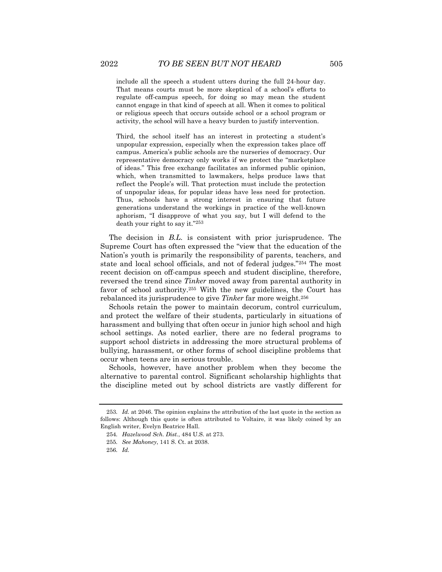include all the speech a student utters during the full 24-hour day. That means courts must be more skeptical of a school's efforts to regulate off-campus speech, for doing so may mean the student cannot engage in that kind of speech at all. When it comes to political

or religious speech that occurs outside school or a school program or activity, the school will have a heavy burden to justify intervention.

Third, the school itself has an interest in protecting a student's unpopular expression, especially when the expression takes place off campus. America's public schools are the nurseries of democracy. Our representative democracy only works if we protect the "marketplace of ideas." This free exchange facilitates an informed public opinion, which, when transmitted to lawmakers, helps produce laws that reflect the People's will. That protection must include the protection of unpopular ideas, for popular ideas have less need for protection. Thus, schools have a strong interest in ensuring that future generations understand the workings in practice of the well-known aphorism, "I disapprove of what you say, but I will defend to the death your right to say it."<sup>253</sup>

The decision in *B.L.* is consistent with prior jurisprudence. The Supreme Court has often expressed the "view that the education of the Nation's youth is primarily the responsibility of parents, teachers, and state and local school officials, and not of federal judges."<sup>254</sup> The most recent decision on off-campus speech and student discipline, therefore, reversed the trend since *Tinker* moved away from parental authority in favor of school authority.<sup>255</sup> With the new guidelines, the Court has rebalanced its jurisprudence to give *Tinker* far more weight.<sup>256</sup>

Schools retain the power to maintain decorum, control curriculum, and protect the welfare of their students, particularly in situations of harassment and bullying that often occur in junior high school and high school settings. As noted earlier, there are no federal programs to support school districts in addressing the more structural problems of bullying, harassment, or other forms of school discipline problems that occur when teens are in serious trouble.

Schools, however, have another problem when they become the alternative to parental control. Significant scholarship highlights that the discipline meted out by school districts are vastly different for

<sup>253</sup>*. Id.* at 2046. The opinion explains the attribution of the last quote in the section as follows: Although this quote is often attributed to Voltaire, it was likely coined by an English writer, Evelyn Beatrice Hall.

<sup>254</sup>*. Hazelwood Sch. Dist.*, 484 U.S. at 273.

<sup>255</sup>*. See Mahoney*, 141 S. Ct. at 2038.

<sup>256</sup>*. Id.*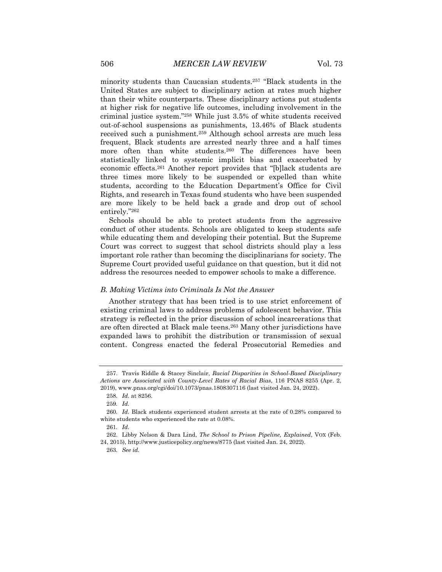minority students than Caucasian students.<sup>257</sup> "Black students in the United States are subject to disciplinary action at rates much higher than their white counterparts. These disciplinary actions put students at higher risk for negative life outcomes, including involvement in the criminal justice system."<sup>258</sup> While just 3.5% of white students received out-of-school suspensions as punishments, 13.46% of Black students received such a punishment.<sup>259</sup> Although school arrests are much less frequent, Black students are arrested nearly three and a half times more often than white students.<sup>260</sup> The differences have been statistically linked to systemic implicit bias and exacerbated by economic effects.<sup>261</sup> Another report provides that "[b]lack students are three times more likely to be suspended or expelled than white students, according to the Education Department's Office for Civil Rights, and research in Texas found students who have been suspended are more likely to be held back a grade and drop out of school entirely."<sup>262</sup>

Schools should be able to protect students from the aggressive conduct of other students. Schools are obligated to keep students safe while educating them and developing their potential. But the Supreme Court was correct to suggest that school districts should play a less important role rather than becoming the disciplinarians for society. The Supreme Court provided useful guidance on that question, but it did not address the resources needed to empower schools to make a difference.

#### *B. Making Victims into Criminals Is Not the Answer*

Another strategy that has been tried is to use strict enforcement of existing criminal laws to address problems of adolescent behavior. This strategy is reflected in the prior discussion of school incarcerations that are often directed at Black male teens.<sup>263</sup> Many other jurisdictions have expanded laws to prohibit the distribution or transmission of sexual content. Congress enacted the federal Prosecutorial Remedies and

<sup>257.</sup> Travis Riddle & Stacey Sinclair, *Racial Disparities in School-Based Disciplinary Actions are Associated with County-Level Rates of Racial Bias*, 116 PNAS 8255 (Apr. 2, 2019), www.pnas.org/cgi/doi/10.1073/pnas.1808307116 (last visited Jan. 24, 2022).

<sup>258</sup>*. Id.* at 8256.

<sup>259</sup>*. Id.*

<sup>260</sup>*. Id.* Black students experienced student arrests at the rate of 0.28% compared to white students who experienced the rate at 0.08%.

<sup>261</sup>*. Id.*

<sup>262.</sup> Libby Nelson & Dara Lind, *The School to Prison Pipeline, Explained*, VOX (Feb. 24, 2015), http://www.justicepolicy.org/news/8775 (last visited Jan. 24, 2022).

<sup>263</sup>*. See id.*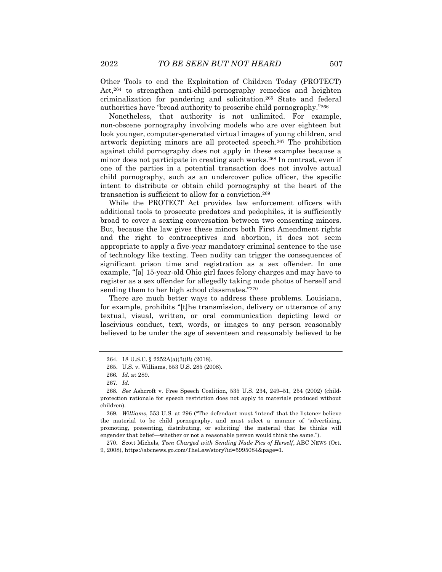Other Tools to end the Exploitation of Children Today (PROTECT) Act,<sup>264</sup> to strengthen anti-child-pornography remedies and heighten criminalization for pandering and solicitation.<sup>265</sup> State and federal authorities have "broad authority to proscribe child pornography."<sup>266</sup>

Nonetheless, that authority is not unlimited. For example, non-obscene pornography involving models who are over eighteen but look younger, computer-generated virtual images of young children, and artwork depicting minors are all protected speech.<sup>267</sup> The prohibition against child pornography does not apply in these examples because a minor does not participate in creating such works.<sup>268</sup> In contrast, even if one of the parties in a potential transaction does not involve actual child pornography, such as an undercover police officer, the specific intent to distribute or obtain child pornography at the heart of the transaction is sufficient to allow for a conviction.<sup>269</sup>

While the PROTECT Act provides law enforcement officers with additional tools to prosecute predators and pedophiles, it is sufficiently broad to cover a sexting conversation between two consenting minors. But, because the law gives these minors both First Amendment rights and the right to contraceptives and abortion, it does not seem appropriate to apply a five-year mandatory criminal sentence to the use of technology like texting. Teen nudity can trigger the consequences of significant prison time and registration as a sex offender. In one example, "[a] 15-year-old Ohio girl faces felony charges and may have to register as a sex offender for allegedly taking nude photos of herself and sending them to her high school classmates."<sup>270</sup>

There are much better ways to address these problems. Louisiana, for example, prohibits "[t]he transmission, delivery or utterance of any textual, visual, written, or oral communication depicting lewd or lascivious conduct, text, words, or images to any person reasonably believed to be under the age of seventeen and reasonably believed to be

270. Scott Michels, *Teen Charged with Sending Nude Pics of Herself*, ABC NEWS (Oct. 9, 2008), https://abcnews.go.com/TheLaw/story?id=5995084&page=1.

<sup>264.</sup> 18 U.S.C. § 2252A(a)(3)(B) (2018).

<sup>265.</sup> U.S. v. Williams, 553 U.S. 285 (2008).

<sup>266</sup>*. Id.* at 289.

<sup>267</sup>*. Id.*

<sup>268</sup>*. See* Ashcroft v. Free Speech Coalition, 535 U.S. 234, 249–51, 254 (2002) (childprotection rationale for speech restriction does not apply to materials produced without children).

<sup>269</sup>*. Williams*, 553 U.S. at 296 ("The defendant must 'intend' that the listener believe the material to be child pornography, and must select a manner of 'advertising, promoting, presenting, distributing, or soliciting' the material that he thinks will engender that belief—whether or not a reasonable person would think the same.").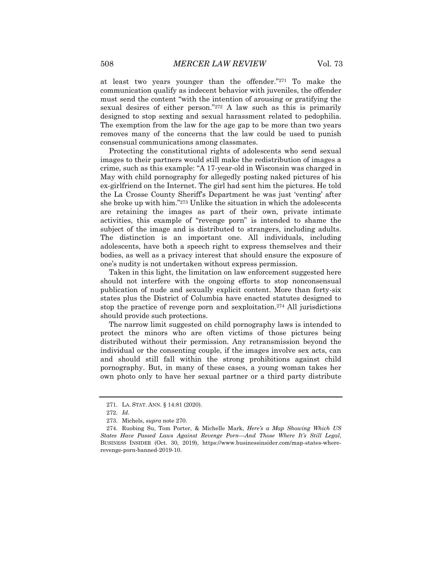at least two years younger than the offender."<sup>271</sup> To make the communication qualify as indecent behavior with juveniles, the offender must send the content "with the intention of arousing or gratifying the sexual desires of either person."<sup>272</sup> A law such as this is primarily designed to stop sexting and sexual harassment related to pedophilia. The exemption from the law for the age gap to be more than two years removes many of the concerns that the law could be used to punish consensual communications among classmates.

Protecting the constitutional rights of adolescents who send sexual images to their partners would still make the redistribution of images a crime, such as this example: "A 17-year-old in Wisconsin was charged in May with child pornography for allegedly posting naked pictures of his ex-girlfriend on the Internet. The girl had sent him the pictures. He told the La Crosse County Sheriff's Department he was just 'venting' after she broke up with him."<sup>273</sup> Unlike the situation in which the adolescents are retaining the images as part of their own, private intimate activities, this example of "revenge porn" is intended to shame the subject of the image and is distributed to strangers, including adults. The distinction is an important one. All individuals, including adolescents, have both a speech right to express themselves and their bodies, as well as a privacy interest that should ensure the exposure of one's nudity is not undertaken without express permission.

Taken in this light, the limitation on law enforcement suggested here should not interfere with the ongoing efforts to stop nonconsensual publication of nude and sexually explicit content. More than forty-six states plus the District of Columbia have enacted statutes designed to stop the practice of revenge porn and sexploitation.<sup>274</sup> All jurisdictions should provide such protections.

The narrow limit suggested on child pornography laws is intended to protect the minors who are often victims of those pictures being distributed without their permission. Any retransmission beyond the individual or the consenting couple, if the images involve sex acts, can and should still fall within the strong prohibitions against child pornography. But, in many of these cases, a young woman takes her own photo only to have her sexual partner or a third party distribute

<sup>271.</sup> LA. STAT. ANN. § 14:81 (2020).

<sup>272</sup>*. Id.*

<sup>273.</sup> Michels, *supra* note 270.

<sup>274.</sup> Ruobing Su, Tom Porter, & Michelle Mark, *Here's a Map Showing Which US States Have Passed Laws Against Revenge Porn—And Those Where It's Still Legal*, BUSINESS INSIDER (Oct. 30, 2019), https://www.businessinsider.com/map-states-whererevenge-porn-banned-2019-10.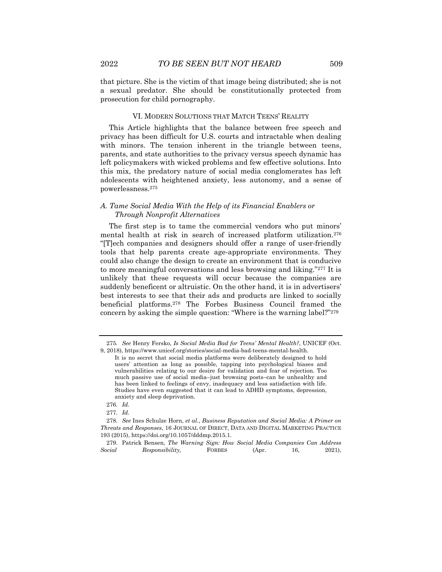that picture. She is the victim of that image being distributed; she is not a sexual predator. She should be constitutionally protected from

#### VI. MODERN SOLUTIONS THAT MATCH TEENS' REALITY

This Article highlights that the balance between free speech and privacy has been difficult for U.S. courts and intractable when dealing with minors. The tension inherent in the triangle between teens, parents, and state authorities to the privacy versus speech dynamic has left policymakers with wicked problems and few effective solutions. Into this mix, the predatory nature of social media conglomerates has left adolescents with heightened anxiety, less autonomy, and a sense of powerlessness.<sup>275</sup>

### *A. Tame Social Media With the Help of its Financial Enablers or Through Nonprofit Alternatives*

The first step is to tame the commercial vendors who put minors' mental health at risk in search of increased platform utilization.<sup>276</sup> "[T]ech companies and designers should offer a range of user-friendly tools that help parents create age-appropriate environments. They could also change the design to create an environment that is conducive to more meaningful conversations and less browsing and liking."<sup>277</sup> It is unlikely that these requests will occur because the companies are suddenly beneficent or altruistic. On the other hand, it is in advertisers' best interests to see that their ads and products are linked to socially beneficial platforms.<sup>278</sup> The Forbes Business Council framed the concern by asking the simple question: "Where is the warning label?"<sup>279</sup>

prosecution for child pornography.

<sup>275</sup>*. See* Henry Fersko, *Is Social Media Bad for Teens' Mental Health?*, UNICEF (Oct. 9, 2018), https://www.unicef.org/stories/social-media-bad-teens-mental-health.

It is no secret that social media platforms were deliberately designed to hold users' attention as long as possible, tapping into psychological biases and vulnerabilities relating to our desire for validation and fear of rejection. Too much passive use of social media–just browsing posts–can be unhealthy and has been linked to feelings of envy, inadequacy and less satisfaction with life. Studies have even suggested that it can lead to ADHD symptoms, depression, anxiety and sleep deprivation.

<sup>276</sup>*. Id.*

<sup>277</sup>*. Id.*

<sup>278</sup>*. See* Ines Schulze Horn, *et al*., *Business Reputation and Social Media: A Primer on Threats and Responses*, 16 JOURNAL OF DIRECT, DATA AND DIGITAL MARKETING PRACTICE 193 (2015), https://doi.org/10.1057/dddmp.2015.1.

<sup>279.</sup> Patrick Bensen, *The Warning Sign: How Social Media Companies Can Address Social Responsibility,* FORBES (Apr. 16, 2021),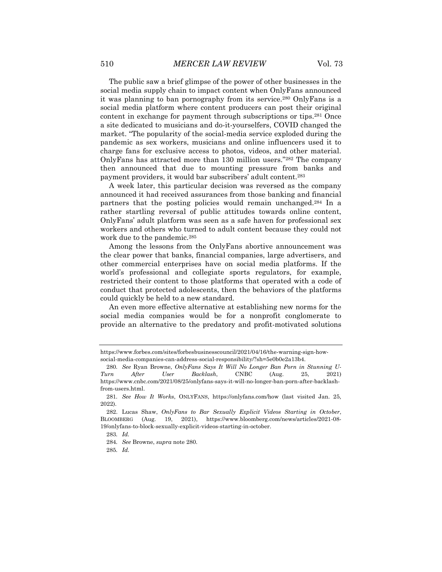The public saw a brief glimpse of the power of other businesses in the social media supply chain to impact content when OnlyFans announced it was planning to ban pornography from its service.<sup>280</sup> OnlyFans is a social media platform where content producers can post their original content in exchange for payment through subscriptions or tips.<sup>281</sup> Once a site dedicated to musicians and do-it-yourselfers, COVID changed the market. "The popularity of the social-media service exploded during the pandemic as sex workers, musicians and online influencers used it to charge fans for exclusive access to photos, videos, and other material. OnlyFans has attracted more than 130 million users."<sup>282</sup> The company then announced that due to mounting pressure from banks and payment providers, it would bar subscribers' adult content.<sup>283</sup>

A week later, this particular decision was reversed as the company announced it had received assurances from those banking and financial partners that the posting policies would remain unchanged.<sup>284</sup> In a rather startling reversal of public attitudes towards online content, OnlyFans' adult platform was seen as a safe haven for professional sex workers and others who turned to adult content because they could not work due to the pandemic.<sup>285</sup>

Among the lessons from the OnlyFans abortive announcement was the clear power that banks, financial companies, large advertisers, and other commercial enterprises have on social media platforms. If the world's professional and collegiate sports regulators, for example, restricted their content to those platforms that operated with a code of conduct that protected adolescents, then the behaviors of the platforms could quickly be held to a new standard.

An even more effective alternative at establishing new norms for the social media companies would be for a nonprofit conglomerate to provide an alternative to the predatory and profit-motivated solutions

https://www.forbes.com/sites/forbesbusinesscouncil/2021/04/16/the-warning-sign-howsocial-media-companies-can-address-social-responsibility/?sh=5e0b0e2a13b4.

<sup>280</sup>*. See* Ryan Browne, *OnlyFans Says It Will No Longer Ban Porn in Stunning U-Turn After User Backlash*, CNBC (Aug. 25, 2021) https://www.cnbc.com/2021/08/25/onlyfans-says-it-will-no-longer-ban-porn-after-backlashfrom-users.html.

<sup>281</sup>*. See How It Works*, ONLYFANS, https://onlyfans.com/how (last visited Jan. 25, 2022).

<sup>282.</sup> Lucas Shaw, *OnlyFans to Bar Sexually Explicit Videos Starting in October*, BLOOMBERG (Aug. 19, 2021), https://www.bloomberg.com/news/articles/2021-08- 19/onlyfans-to-block-sexually-explicit-videos-starting-in-october.

<sup>283</sup>*. Id.*

<sup>284</sup>*. See* Browne, *supra* note 280.

<sup>285</sup>*. Id.*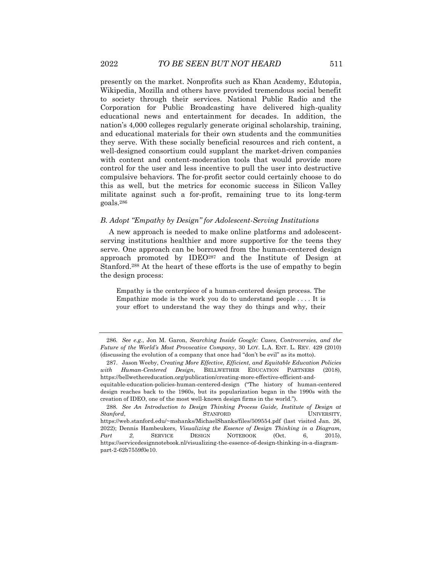presently on the market. Nonprofits such as Khan Academy, Edutopia, Wikipedia, Mozilla and others have provided tremendous social benefit to society through their services. National Public Radio and the Corporation for Public Broadcasting have delivered high-quality educational news and entertainment for decades. In addition, the nation's 4,000 colleges regularly generate original scholarship, training, and educational materials for their own students and the communities they serve. With these socially beneficial resources and rich content, a well-designed consortium could supplant the market-driven companies with content and content-moderation tools that would provide more control for the user and less incentive to pull the user into destructive compulsive behaviors. The for-profit sector could certainly choose to do this as well, but the metrics for economic success in Silicon Valley militate against such a for-profit, remaining true to its long-term goals.<sup>286</sup>

#### *B. Adopt "Empathy by Design" for Adolescent-Serving Institutions*

A new approach is needed to make online platforms and adolescentserving institutions healthier and more supportive for the teens they serve. One approach can be borrowed from the human-centered design approach promoted by IDEO<sup>287</sup> and the Institute of Design at Stanford.<sup>288</sup> At the heart of these efforts is the use of empathy to begin the design process:

Empathy is the centerpiece of a human-centered design process. The Empathize mode is the work you do to understand people  $\dots$ . It is your effort to understand the way they do things and why, their

<sup>286</sup>*. See e.g*., Jon M. Garon, *Searching Inside Google: Cases, Controversies, and the Future of the World's Most Provocative Company*, 30 LOY. L.A. ENT. L. REV. 429 (2010) (discussing the evolution of a company that once had "don't be evil" as its motto).

<sup>287.</sup> Jason Weeby, *Creating More Effective, Efficient, and Equitable Education Policies with Human-Centered Design*, BELLWETHER EDUCATION PARTNERS (2018), https://bellwethereducation.org/publication/creating-more-effective-efficient-andequitable-education-policies-human-centered-design ("The history of human-centered

design reaches back to the 1960s, but its popularization began in the 1990s with the creation of IDEO, one of the most well-known design firms in the world.").

<sup>288</sup>*. See An Introduction to Design Thinking Process Guide, Institute of Design at* **Stanford, STANFORD STANFORD UNIVERSITY,** https://web.stanford.edu/~mshanks/MichaelShanks/files/509554.pdf (last visited Jan. 26, 2022); Dennis Hambeukers, *Visualizing the Essence of Design Thinking in a Diagram, Part 2*, SERVICE DESIGN NOTEBOOK (Oct. 6, 2015), https://servicedesignnotebook.nl/visualizing-the-essence-of-design-thinking-in-a-diagrampart-2-62b7559f0e10.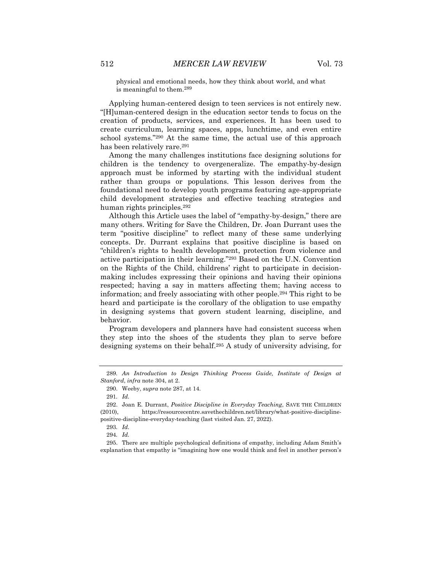physical and emotional needs, how they think about world, and what is meaningful to them.<sup>289</sup>

Applying human-centered design to teen services is not entirely new. "[H]uman-centered design in the education sector tends to focus on the creation of products, services, and experiences. It has been used to create curriculum, learning spaces, apps, lunchtime, and even entire school systems."<sup>290</sup> At the same time, the actual use of this approach has been relatively rare.<sup>291</sup>

Among the many challenges institutions face designing solutions for children is the tendency to overgeneralize. The empathy-by-design approach must be informed by starting with the individual student rather than groups or populations. This lesson derives from the foundational need to develop youth programs featuring age-appropriate child development strategies and effective teaching strategies and human rights principles.<sup>292</sup>

Although this Article uses the label of "empathy-by-design," there are many others. Writing for Save the Children, Dr. Joan Durrant uses the term "positive discipline" to reflect many of these same underlying concepts. Dr. Durrant explains that positive discipline is based on "children's rights to health development, protection from violence and active participation in their learning."<sup>293</sup> Based on the U.N. Convention on the Rights of the Child, childrens' right to participate in decisionmaking includes expressing their opinions and having their opinions respected; having a say in matters affecting them; having access to information; and freely associating with other people.<sup>294</sup> This right to be heard and participate is the corollary of the obligation to use empathy in designing systems that govern student learning, discipline, and behavior.

Program developers and planners have had consistent success when they step into the shoes of the students they plan to serve before designing systems on their behalf.<sup>295</sup> A study of university advising, for

<sup>289</sup>*. An Introduction to Design Thinking Process Guide, Institute of Design at Stanford*, *infra* note 304, at 2.

<sup>290.</sup> Weeby, *supra* note 287, at 14.

<sup>291</sup>*. Id.*

<sup>292.</sup> Joan E. Durrant, *Positive Discipline in Everyday Teaching*, SAVE THE CHILDREN (2010), https://resourcecentre.savethechildren.net/library/what-positive-disciplinepositive-discipline-everyday-teaching (last visited Jan. 27, 2022).

<sup>293</sup>*. Id.*

<sup>294</sup>*. Id.*

<sup>295.</sup> There are multiple psychological definitions of empathy, including Adam Smith's explanation that empathy is "imagining how one would think and feel in another person's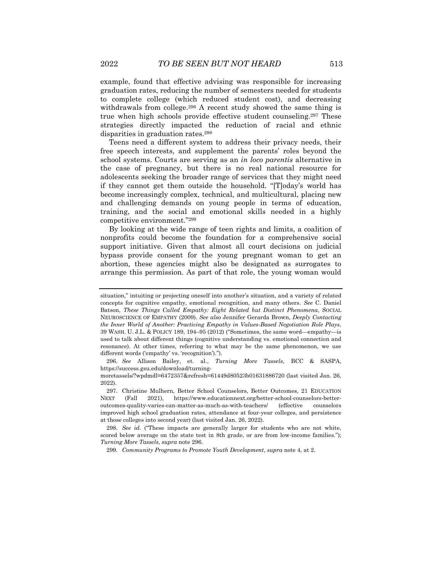example, found that effective advising was responsible for increasing graduation rates, reducing the number of semesters needed for students to complete college (which reduced student cost), and decreasing withdrawals from college.<sup>296</sup> A recent study showed the same thing is true when high schools provide effective student counseling.<sup>297</sup> These strategies directly impacted the reduction of racial and ethnic disparities in graduation rates.<sup>298</sup>

Teens need a different system to address their privacy needs, their free speech interests, and supplement the parents' roles beyond the school systems. Courts are serving as an *in loco parentis* alternative in the case of pregnancy, but there is no real national resource for adolescents seeking the broader range of services that they might need if they cannot get them outside the household. "[T]oday's world has become increasingly complex, technical, and multicultural, placing new and challenging demands on young people in terms of education, training, and the social and emotional skills needed in a highly competitive environment."<sup>299</sup>

By looking at the wide range of teen rights and limits, a coalition of nonprofits could become the foundation for a comprehensive social support initiative. Given that almost all court decisions on judicial bypass provide consent for the young pregnant woman to get an abortion, these agencies might also be designated as surrogates to arrange this permission. As part of that role, the young woman would

299*. Community Programs to Promote Youth Development*, *supra* note 4, at 2.

situation," intuiting or projecting oneself into another's situation, and a variety of related concepts for cognitive empathy, emotional recognition, and many others. *See* C. Daniel Batson, *These Things Called Empathy: Eight Related but Distinct Phenomena*, SOCIAL NEUROSCIENCE OF EMPATHY (2009). *See also* Jennifer Gerarda Brown, *Deeply Contacting the Inner World of Another: Practicing Empathy in Values-Based Negotiation Role Plays*, 39 WASH. U. J.L. & POLICY 189, 194–95 (2012) ("Sometimes, the same word—empathy—is used to talk about different things (cognitive understanding vs. emotional connection and resonance). At other times, referring to what may be the same phenomenon, we use different words ('empathy' vs. 'recognition').").

<sup>296</sup>*. See* Allison Bailey, et. al., *Turning More Tassels*, BCC & SASPA, https://success.gsu.edu/download/turning-

moretassels/?wpdmdl=6472357&refresh=61449d80523b01631886720 (last visited Jan. 26, 2022).

<sup>297.</sup> Christine Mulhern, Better School Counselors, Better Outcomes, 21 EDUCATION NEXT (Fall 2021), https://www.educationnext.org/better-school-counselors-betteroutcomes-quality-varies-can-matter-as-much-as-with-teachers/ (effective counselors improved high school graduation rates, attendance at four-year colleges, and persistence at those colleges into second year) (last visited Jan. 26, 2022).

<sup>298</sup>*. See id.* ("These impacts are generally larger for students who are not white, scored below average on the state test in 8th grade, or are from low-income families."); *Turning More Tassels*, *supra* note 296.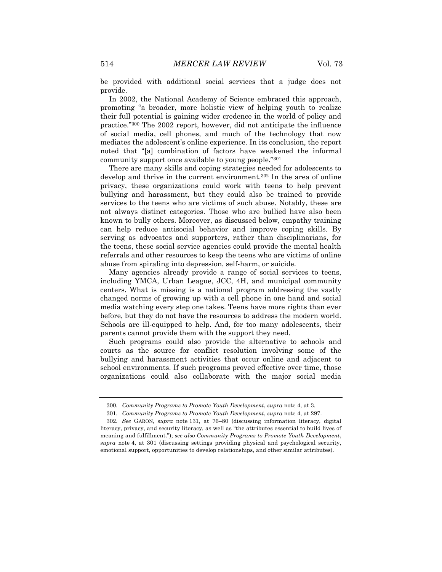be provided with additional social services that a judge does not provide.

In 2002, the National Academy of Science embraced this approach, promoting "a broader, more holistic view of helping youth to realize their full potential is gaining wider credence in the world of policy and practice."<sup>300</sup> The 2002 report, however, did not anticipate the influence of social media, cell phones, and much of the technology that now mediates the adolescent's online experience. In its conclusion, the report noted that "[a] combination of factors have weakened the informal community support once available to young people."<sup>301</sup>

There are many skills and coping strategies needed for adolescents to develop and thrive in the current environment.<sup>302</sup> In the area of online privacy, these organizations could work with teens to help prevent bullying and harassment, but they could also be trained to provide services to the teens who are victims of such abuse. Notably, these are not always distinct categories. Those who are bullied have also been known to bully others. Moreover, as discussed below, empathy training can help reduce antisocial behavior and improve coping skills. By serving as advocates and supporters, rather than disciplinarians, for the teens, these social service agencies could provide the mental health referrals and other resources to keep the teens who are victims of online abuse from spiraling into depression, self-harm, or suicide.

Many agencies already provide a range of social services to teens, including YMCA, Urban League, JCC, 4H, and municipal community centers. What is missing is a national program addressing the vastly changed norms of growing up with a cell phone in one hand and social media watching every step one takes. Teens have more rights than ever before, but they do not have the resources to address the modern world. Schools are ill-equipped to help. And, for too many adolescents, their parents cannot provide them with the support they need.

Such programs could also provide the alternative to schools and courts as the source for conflict resolution involving some of the bullying and harassment activities that occur online and adjacent to school environments. If such programs proved effective over time, those organizations could also collaborate with the major social media

<sup>300</sup>*. Community Programs to Promote Youth Development*, *supra* note 4, at 3.

<sup>301</sup>*. Community Programs to Promote Youth Development*, *supra* note 4, at 297.

<sup>302</sup>*. See* GARON, *supra* note 131, at 76–80 (discussing information literacy, digital literacy, privacy, and security literacy, as well as "the attributes essential to build lives of meaning and fulfillment."); *see also Community Programs to Promote Youth Development*, *supra* note 4, at 301 (discussing settings providing physical and psychological security, emotional support, opportunities to develop relationships, and other similar attributes).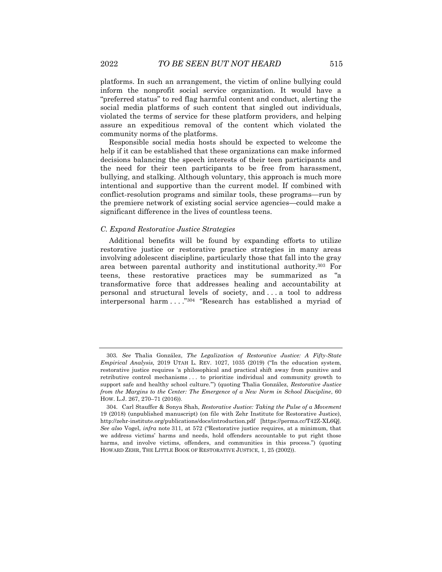platforms. In such an arrangement, the victim of online bullying could inform the nonprofit social service organization. It would have a "preferred status" to red flag harmful content and conduct, alerting the social media platforms of such content that singled out individuals, violated the terms of service for these platform providers, and helping assure an expeditious removal of the content which violated the community norms of the platforms.

Responsible social media hosts should be expected to welcome the help if it can be established that these organizations can make informed decisions balancing the speech interests of their teen participants and the need for their teen participants to be free from harassment, bullying, and stalking. Although voluntary, this approach is much more intentional and supportive than the current model. If combined with conflict-resolution programs and similar tools, these programs—run by the premiere network of existing social service agencies—could make a significant difference in the lives of countless teens.

#### *C. Expand Restorative Justice Strategies*

Additional benefits will be found by expanding efforts to utilize restorative justice or restorative practice strategies in many areas involving adolescent discipline, particularly those that fall into the gray area between parental authority and institutional authority.<sup>303</sup> For teens, these restorative practices may be summarized as "a transformative force that addresses healing and accountability at personal and structural levels of society, and . . . a tool to address interpersonal harm . . . ."<sup>304</sup> "Research has established a myriad of

<sup>303</sup>*. See* Thalia González, *The Legalization of Restorative Justice: A Fifty-State Empirical Analysis,* 2019 UTAH L. REV. 1027, 1035 (2019) ("In the education system, restorative justice requires 'a philosophical and practical shift away from punitive and retributive control mechanisms . . . to prioritize individual and community growth to support safe and healthy school culture.'") (quoting Thalia González, *Restorative Justice from the Margins to the Center: The Emergence of a New Norm in School Discipline*, 60 HOW. L.J. 267, 270–71 (2016)).

<sup>304.</sup> Carl Stauffer & Sonya Shah, *Restorative Justice: Taking the Pulse of a Movement* 19 (2018) (unpublished manuscript) (on file with Zehr Institute for Restorative Justice), http://zehr-institute.org/publications/docs/introduction.pdf [https://perma.cc/T42Z-XL6Q]. *See also* Vogel, *infra* note 311, at 572 ("Restorative justice requires, at a minimum, that we address victims' harms and needs, hold offenders accountable to put right those harms, and involve victims, offenders, and communities in this process.") (quoting HOWARD ZEHR, THE LITTLE BOOK OF RESTORATIVE JUSTICE, 1, 25 (2002)).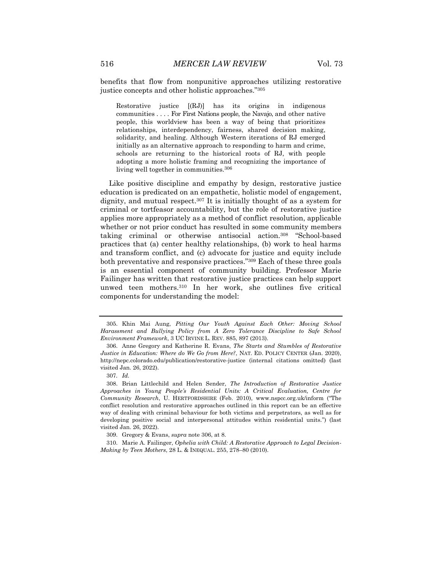benefits that flow from nonpunitive approaches utilizing restorative justice concepts and other holistic approaches."<sup>305</sup>

Restorative justice [(RJ)] has its origins in indigenous communities . . . . For First Nations people, the Navajo, and other native people, this worldview has been a way of being that prioritizes relationships, interdependency, fairness, shared decision making, solidarity, and healing. Although Western iterations of RJ emerged initially as an alternative approach to responding to harm and crime, schools are returning to the historical roots of RJ, with people adopting a more holistic framing and recognizing the importance of living well together in communities.<sup>306</sup>

Like positive discipline and empathy by design, restorative justice education is predicated on an empathetic, holistic model of engagement, dignity, and mutual respect.<sup>307</sup> It is initially thought of as a system for criminal or tortfeasor accountability, but the role of restorative justice applies more appropriately as a method of conflict resolution, applicable whether or not prior conduct has resulted in some community members taking criminal or otherwise antisocial action.<sup>308</sup> "School-based practices that (a) center healthy relationships, (b) work to heal harms and transform conflict, and (c) advocate for justice and equity include both preventative and responsive practices." <sup>309</sup> Each of these three goals is an essential component of community building. Professor Marie Failinger has written that restorative justice practices can help support unwed teen mothers.<sup>310</sup> In her work, she outlines five critical components for understanding the model:

<sup>305.</sup> Khin Mai Aung, *Pitting Our Youth Against Each Other: Moving School Harassment and Bullying Policy from A Zero Tolerance Discipline to Safe School Environment Framework*, 3 UC IRVINE L. REV. 885, 897 (2013).

<sup>306.</sup> Anne Gregory and Katherine R. Evans, *The Starts and Stumbles of Restorative Justice in Education: Where do We Go from Here?*, NAT. ED. POLICY CENTER (Jan. 2020), http://nepc.colorado.edu/publication/restorative-justice (internal citations omitted) (last visited Jan. 26, 2022).

<sup>307</sup>*. Id.*

<sup>308.</sup> Brian Littlechild and Helen Sender, *The Introduction of Restorative Justice Approaches in Young People's Residential Units: A Critical Evaluation, Centre for Community Research*, U. HERTFORDSHIRE (Feb. 2010), www.nspcc.org.uk/inform ("The conflict resolution and restorative approaches outlined in this report can be an effective way of dealing with criminal behaviour for both victims and perpetrators, as well as for developing positive social and interpersonal attitudes within residential units.") (last visited Jan. 26, 2022).

<sup>309.</sup> Gregory & Evans, *supra* note 306, at 8.

<sup>310.</sup> Marie A. Failinger, *Ophelia with Child: A Restorative Approach to Legal Decision-Making by Teen Mothers*, 28 L. & INEQUAL. 255, 278–80 (2010).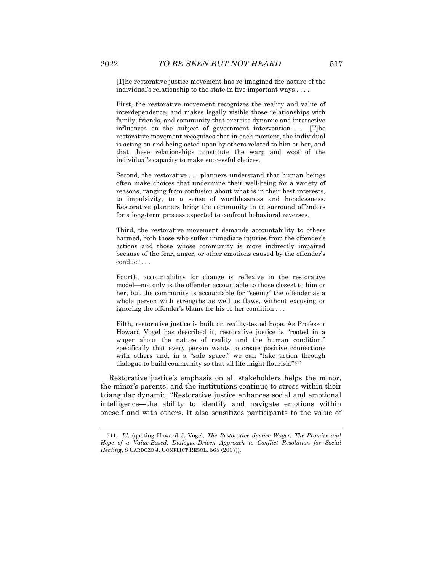[T]he restorative justice movement has re-imagined the nature of the individual's relationship to the state in five important ways . . . .

First, the restorative movement recognizes the reality and value of interdependence, and makes legally visible those relationships with family, friends, and community that exercise dynamic and interactive influences on the subject of government intervention .... [T]he restorative movement recognizes that in each moment, the individual is acting on and being acted upon by others related to him or her, and that these relationships constitute the warp and woof of the individual's capacity to make successful choices.

Second, the restorative . . . planners understand that human beings often make choices that undermine their well-being for a variety of reasons, ranging from confusion about what is in their best interests, to impulsivity, to a sense of worthlessness and hopelessness. Restorative planners bring the community in to surround offenders for a long-term process expected to confront behavioral reverses.

Third, the restorative movement demands accountability to others harmed, both those who suffer immediate injuries from the offender's actions and those whose community is more indirectly impaired because of the fear, anger, or other emotions caused by the offender's conduct . . .

Fourth, accountability for change is reflexive in the restorative model—not only is the offender accountable to those closest to him or her, but the community is accountable for "seeing" the offender as a whole person with strengths as well as flaws, without excusing or ignoring the offender's blame for his or her condition . . .

Fifth, restorative justice is built on reality-tested hope. As Professor Howard Vogel has described it, restorative justice is "rooted in a wager about the nature of reality and the human condition," specifically that every person wants to create positive connections with others and, in a "safe space," we can "take action through dialogue to build community so that all life might flourish."<sup>311</sup>

Restorative justice's emphasis on all stakeholders helps the minor, the minor's parents, and the institutions continue to stress within their triangular dynamic. "Restorative justice enhances social and emotional intelligence—the ability to identify and navigate emotions within oneself and with others. It also sensitizes participants to the value of

<sup>311</sup>*. Id.* (quoting Howard J. Vogel, *The Restorative Justice Wager: The Promise and Hope of a Value-Based, Dialogue-Driven Approach to Conflict Resolution for Social Healing*, 8 CARDOZO J. CONFLICT RESOL. 565 (2007)).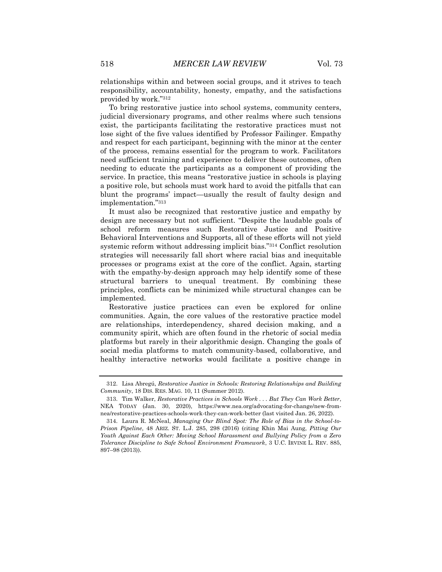relationships within and between social groups, and it strives to teach responsibility, accountability, honesty, empathy, and the satisfactions provided by work."<sup>312</sup>

To bring restorative justice into school systems, community centers, judicial diversionary programs, and other realms where such tensions exist, the participants facilitating the restorative practices must not lose sight of the five values identified by Professor Failinger. Empathy and respect for each participant, beginning with the minor at the center of the process, remains essential for the program to work. Facilitators need sufficient training and experience to deliver these outcomes, often needing to educate the participants as a component of providing the service. In practice, this means "restorative justice in schools is playing a positive role, but schools must work hard to avoid the pitfalls that can blunt the programs' impact—usually the result of faulty design and implementation."<sup>313</sup>

It must also be recognized that restorative justice and empathy by design are necessary but not sufficient. "Despite the laudable goals of school reform measures such Restorative Justice and Positive Behavioral Interventions and Supports, all of these efforts will not yield systemic reform without addressing implicit bias."<sup>314</sup> Conflict resolution strategies will necessarily fall short where racial bias and inequitable processes or programs exist at the core of the conflict. Again, starting with the empathy-by-design approach may help identify some of these structural barriers to unequal treatment. By combining these principles, conflicts can be minimized while structural changes can be implemented.

Restorative justice practices can even be explored for online communities. Again, the core values of the restorative practice model are relationships, interdependency, shared decision making, and a community spirit, which are often found in the rhetoric of social media platforms but rarely in their algorithmic design. Changing the goals of social media platforms to match community-based, collaborative, and healthy interactive networks would facilitate a positive change in

<sup>312.</sup> Lisa Abregú, *Restorative Justice in Schools: Restoring Relationships and Building Community*, 18 DIS. RES. MAG. 10, 11 (Summer 2012).

<sup>313.</sup> Tim Walker, *Restorative Practices in Schools Work . . . But They Can Work Better*, NEA TODAY (Jan. 30, 2020), https://www.nea.org/advocating-for-change/new-fromnea/restorative-practices-schools-work-they-can-work-better (last visited Jan. 26, 2022).

<sup>314.</sup> Laura R. McNeal, *Managing Our Blind Spot: The Role of Bias in the School-to-Prison Pipeline*, 48 ARIZ. ST. L.J. 285, 298 (2016) (citing Khin Mai Aung, *Pitting Our Youth Against Each Other: Moving School Harassment and Bullying Policy from a Zero Tolerance Discipline to Safe School Environment Framework*, 3 U.C. IRVINE L. REV. 885, 897–98 (2013)).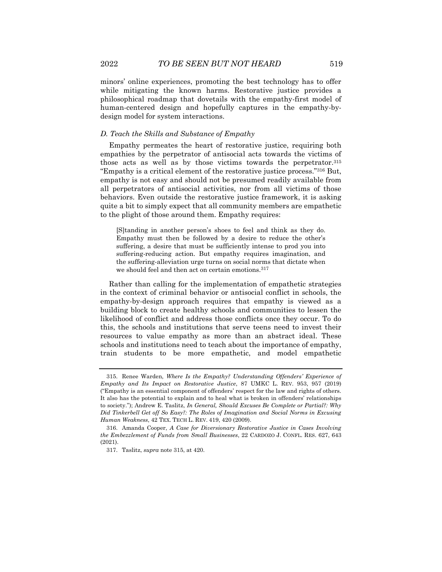minors' online experiences, promoting the best technology has to offer while mitigating the known harms. Restorative justice provides a philosophical roadmap that dovetails with the empathy-first model of human-centered design and hopefully captures in the empathy-bydesign model for system interactions.

#### *D. Teach the Skills and Substance of Empathy*

Empathy permeates the heart of restorative justice, requiring both empathies by the perpetrator of antisocial acts towards the victims of those acts as well as by those victims towards the perpetrator.<sup>315</sup> "Empathy is a critical element of the restorative justice process."<sup>316</sup> But, empathy is not easy and should not be presumed readily available from all perpetrators of antisocial activities, nor from all victims of those behaviors. Even outside the restorative justice framework, it is asking quite a bit to simply expect that all community members are empathetic to the plight of those around them. Empathy requires:

[S]tanding in another person's shoes to feel and think as they do. Empathy must then be followed by a desire to reduce the other's suffering, a desire that must be sufficiently intense to prod you into suffering-reducing action. But empathy requires imagination, and the suffering-alleviation urge turns on social norms that dictate when we should feel and then act on certain emotions.<sup>317</sup>

Rather than calling for the implementation of empathetic strategies in the context of criminal behavior or antisocial conflict in schools, the empathy-by-design approach requires that empathy is viewed as a building block to create healthy schools and communities to lessen the likelihood of conflict and address those conflicts once they occur. To do this, the schools and institutions that serve teens need to invest their resources to value empathy as more than an abstract ideal. These schools and institutions need to teach about the importance of empathy, train students to be more empathetic, and model empathetic

<sup>315.</sup> Renee Warden, *Where Is the Empathy? Understanding Offenders' Experience of Empathy and Its Impact on Restorative Justice*, 87 UMKC L. REV. 953, 957 (2019) ("Empathy is an essential component of offenders' respect for the law and rights of others. It also has the potential to explain and to heal what is broken in offenders' relationships to society."); Andrew E. Taslitz, *In General, Should Excuses Be Complete or Partial?: Why Did Tinkerbell Get off So Easy?: The Roles of Imagination and Social Norms in Excusing Human Weakness*, 42 TEX. TECH L. REV. 419, 420 (2009).

<sup>316.</sup> Amanda Cooper, *A Case for Diversionary Restorative Justice in Cases Involving the Embezzlement of Funds from Small Businesses*, 22 CARDOZO J. CONFL. RES. 627, 643 (2021).

<sup>317.</sup> Taslitz, *supra* note 315, at 420.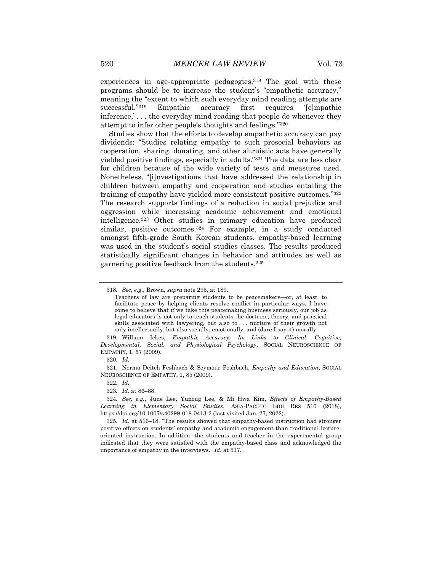experiences in age-appropriate pedagogies.<sup>318</sup> The goal with these programs should be to increase the student's "empathetic accuracy," meaning the "extent to which such everyday mind reading attempts are successful."<sup>319</sup> Empathic accuracy first requires '[e]mpathic inference,' . . . the everyday mind reading that people do whenever they attempt to infer other people's thoughts and feelings."<sup>320</sup>

Studies show that the efforts to develop empathetic accuracy can pay dividends: "Studies relating empathy to such prosocial behaviors as cooperation, sharing, donating, and other altruistic acts have generally yielded positive findings, especially in adults."<sup>321</sup> The data are less clear for children because of the wide variety of tests and measures used. Nonetheless, "[i]nvestigations that have addressed the relationship in children between empathy and cooperation and studies entailing the training of empathy have yielded more consistent positive outcomes."<sup>322</sup> The research supports findings of a reduction in social prejudice and aggression while increasing academic achievement and emotional intelligence.<sup>323</sup> Other studies in primary education have produced similar, positive outcomes.<sup>324</sup> For example, in a study conducted amongst fifth-grade South Korean students, empathy-based learning was used in the student's social studies classes. The results produced statistically significant changes in behavior and attitudes as well as garnering positive feedback from the students.<sup>325</sup>

319. William Ickes, *Empathic Accuracy: Its Links to Clinical, Cognitive, Developmental, Social, and Physiological Psychology*, SOCIAL NEUROSCIENCE OF EMPATHY, 1, 57 (2009).

321. Norma Deitch Feshbach & Seymour Feshbach, *Empathy and Education*, SOCIAL NEUROSCIENCE OF EMPATHY, 1, 85 (2009).

323*. Id.* at 86–88.

324*. See, e.g.*, June Lee, Yunoug Lee, & Mi Hwa Kim, *Effects of Empathy-Based Learning in Elementary Social Studies*, ASIA-PACIFIC EDU RES 510 (2018), https://doi.org/10.1007/s40299-018-0413-2 (last visited Jan. 27, 2022).

325*. Id.* at 516–18. "The results showed that empathy-based instruction had stronger positive effects on students' empathy and academic engagement than traditional lectureoriented instruction. In addition, the students and teacher in the experimental group indicated that they were satisfied with the empathy-based class and acknowledged the importance of empathy in the interviews." *Id.* at 517.

<sup>318</sup>*. See*, *e.g*., Brown, *supra* note 295, at 189.

Teachers of law are preparing students to be peacemakers—or, at least, to facilitate peace by helping clients resolve conflict in particular ways. I have come to believe that if we take this peacemaking business seriously, our job as legal educators is not only to teach students the doctrine, theory, and practical skills associated with lawyering, but also to . . . nurture of their growth not only intellectually, but also socially, emotionally, and (dare I say it) morally.

<sup>320</sup>*. Id.*

<sup>322</sup>*. Id.*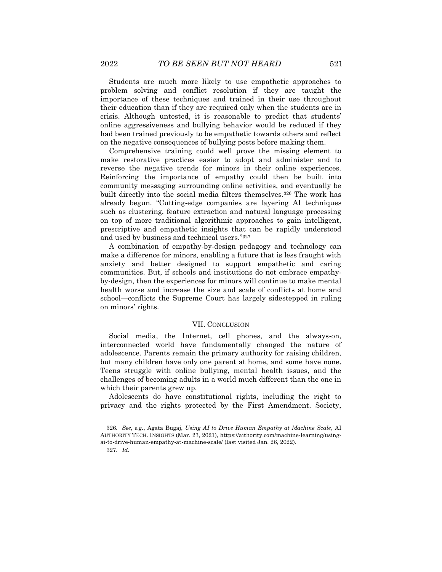Students are much more likely to use empathetic approaches to problem solving and conflict resolution if they are taught the importance of these techniques and trained in their use throughout their education than if they are required only when the students are in crisis. Although untested, it is reasonable to predict that students' online aggressiveness and bullying behavior would be reduced if they had been trained previously to be empathetic towards others and reflect on the negative consequences of bullying posts before making them.

Comprehensive training could well prove the missing element to make restorative practices easier to adopt and administer and to reverse the negative trends for minors in their online experiences. Reinforcing the importance of empathy could then be built into community messaging surrounding online activities, and eventually be built directly into the social media filters themselves.<sup>326</sup> The work has already begun. "Cutting-edge companies are layering AI techniques such as clustering, feature extraction and natural language processing on top of more traditional algorithmic approaches to gain intelligent, prescriptive and empathetic insights that can be rapidly understood and used by business and technical users."<sup>327</sup>

A combination of empathy-by-design pedagogy and technology can make a difference for minors, enabling a future that is less fraught with anxiety and better designed to support empathetic and caring communities. But, if schools and institutions do not embrace empathyby-design, then the experiences for minors will continue to make mental health worse and increase the size and scale of conflicts at home and school—conflicts the Supreme Court has largely sidestepped in ruling on minors' rights.

#### VII. CONCLUSION

Social media, the Internet, cell phones, and the always-on, interconnected world have fundamentally changed the nature of adolescence. Parents remain the primary authority for raising children, but many children have only one parent at home, and some have none. Teens struggle with online bullying, mental health issues, and the challenges of becoming adults in a world much different than the one in which their parents grew up.

Adolescents do have constitutional rights, including the right to privacy and the rights protected by the First Amendment. Society,

<sup>326</sup>*. See*, *e.g.*, Agata Bugaj, *Using AI to Drive Human Empathy at Machine Scale*, AI AUTHORITY TECH. INSIGHTS (Mar. 23, 2021), https://aithority.com/machine-learning/usingai-to-drive-human-empathy-at-machine-scale/ (last visited Jan. 26, 2022).

<sup>327</sup>*. Id.*